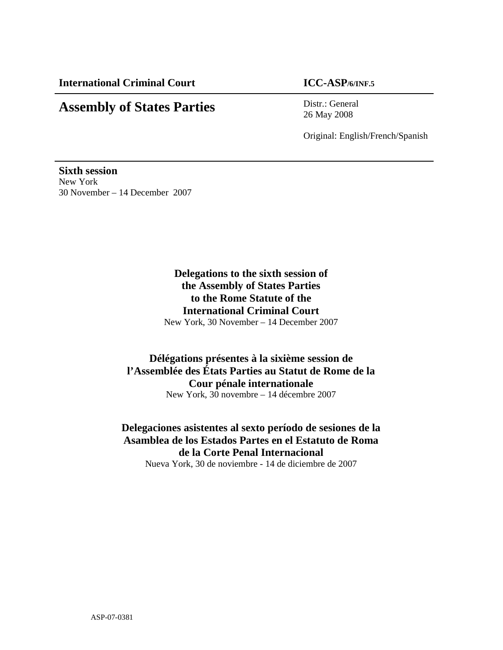# **Assembly of States Parties** Distr.: General

26 May 2008

Original: English/French/Spanish

**Sixth session**  New York 30 November – 14 December 2007

> **Delegations to the sixth session of the Assembly of States Parties to the Rome Statute of the International Criminal Court**  New York, 30 November – 14 December 2007

### **Délégations présentes à la sixième session de l'Assemblée des États Parties au Statut de Rome de la Cour pénale internationale**  New York, 30 novembre – 14 décembre 2007

**Delegaciones asistentes al sexto período de sesiones de la Asamblea de los Estados Partes en el Estatuto de Roma de la Corte Penal Internacional** 

Nueva York, 30 de noviembre - 14 de diciembre de 2007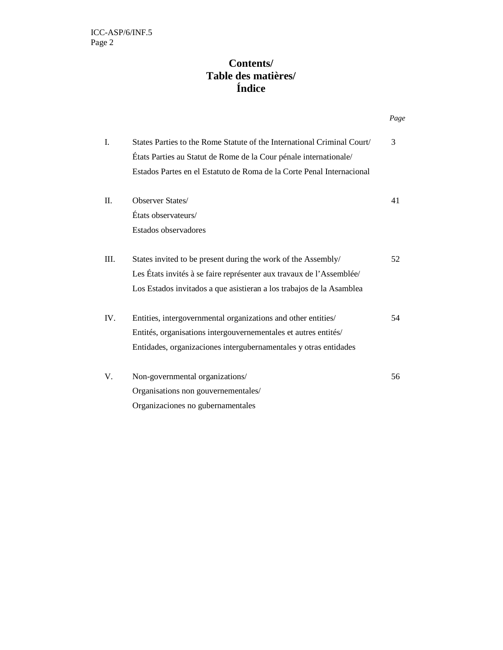## **Contents/ Table des matières/ Índice**

|  |      |                                                                         | Page |
|--|------|-------------------------------------------------------------------------|------|
|  | I.   | States Parties to the Rome Statute of the International Criminal Court/ | 3    |
|  |      | États Parties au Statut de Rome de la Cour pénale internationale/       |      |
|  |      | Estados Partes en el Estatuto de Roma de la Corte Penal Internacional   |      |
|  | II.  | Observer States/                                                        | 41   |
|  |      | États observateurs/                                                     |      |
|  |      | Estados observadores                                                    |      |
|  | III. | States invited to be present during the work of the Assembly/           | 52   |
|  |      | Les États invités à se faire représenter aux travaux de l'Assemblée/    |      |
|  |      | Los Estados invitados a que asistieran a los trabajos de la Asamblea    |      |
|  | IV.  | Entities, intergovernmental organizations and other entities/           | 54   |
|  |      | Entités, organisations intergouvernementales et autres entités/         |      |
|  |      | Entidades, organizaciones intergubernamentales y otras entidades        |      |
|  | V.   | Non-governmental organizations/                                         | 56   |
|  |      | Organisations non gouvernementales/                                     |      |
|  |      | Organizaciones no gubernamentales                                       |      |
|  |      |                                                                         |      |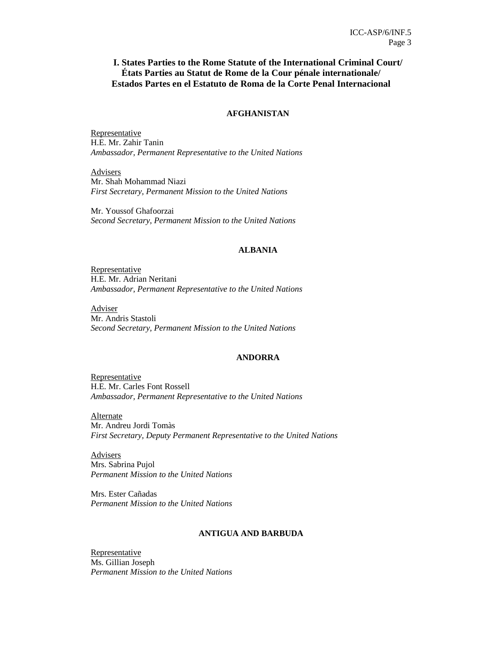### **I. States Parties to the Rome Statute of the International Criminal Court/ États Parties au Statut de Rome de la Cour pénale internationale/ Estados Partes en el Estatuto de Roma de la Corte Penal Internacional**

### **AFGHANISTAN**

**Representative** H.E. Mr. Zahir Tanin *Ambassador, Permanent Representative to the United Nations* 

**Advisers** Mr. Shah Mohammad Niazi *First Secretary, Permanent Mission to the United Nations* 

Mr. Youssof Ghafoorzai *Second Secretary, Permanent Mission to the United Nations* 

### **ALBANIA**

Representative H.E. Mr. Adrian Neritani *Ambassador, Permanent Representative to the United Nations* 

Adviser Mr. Andris Stastoli *Second Secretary, Permanent Mission to the United Nations* 

### **ANDORRA**

Representative H.E. Mr. Carles Font Rossell *Ambassador, Permanent Representative to the United Nations* 

**Alternate** Mr. Andreu Jordi Tomàs *First Secretary, Deputy Permanent Representative to the United Nations* 

**Advisers** Mrs. Sabrina Pujol *Permanent Mission to the United Nations* 

Mrs. Ester Cañadas *Permanent Mission to the United Nations* 

### **ANTIGUA AND BARBUDA**

**Representative** Ms. Gillian Joseph *Permanent Mission to the United Nations*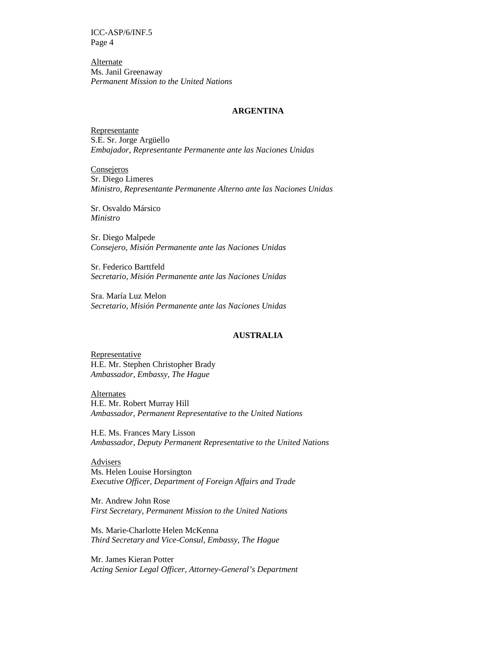**Alternate** Ms. Janil Greenaway *Permanent Mission to the United Nations*

#### **ARGENTINA**

Representante S.E. Sr. Jorge Argüello *Embajador, Representante Permanente ante las Naciones Unidas* 

**Consejeros** Sr. Diego Limeres *Ministro, Representante Permanente Alterno ante las Naciones Unidas* 

Sr. Osvaldo Mársico *Ministro* 

Sr. Diego Malpede *Consejero, Misión Permanente ante las Naciones Unidas* 

Sr. Federico Barttfeld *Secretario, Misión Permanente ante las Naciones Unidas* 

Sra. María Luz Melon *Secretario, Misión Permanente ante las Naciones Unidas* 

#### **AUSTRALIA**

Representative H.E. Mr. Stephen Christopher Brady *Ambassador, Embassy, The Hague* 

Alternates H.E. Mr. Robert Murray Hill *Ambassador, Permanent Representative to the United Nations* 

H.E. Ms. Frances Mary Lisson *Ambassador, Deputy Permanent Representative to the United Nations* 

Advisers Ms. Helen Louise Horsington *Executive Officer, Department of Foreign Affairs and Trade* 

Mr. Andrew John Rose *First Secretary, Permanent Mission to the United Nations* 

Ms. Marie-Charlotte Helen McKenna *Third Secretary and Vice-Consul, Embassy, The Hague*

Mr. James Kieran Potter *Acting Senior Legal Officer, Attorney-General's Department*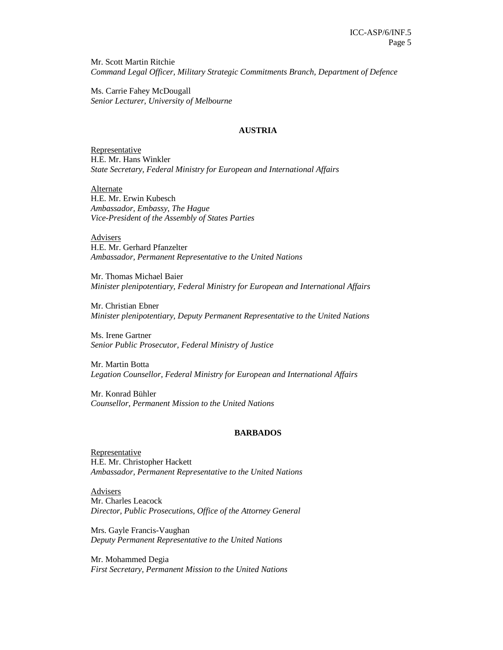Mr. Scott Martin Ritchie *Command Legal Officer, Military Strategic Commitments Branch, Department of Defence* 

Ms. Carrie Fahey McDougall *Senior Lecturer, University of Melbourne* 

#### **AUSTRIA**

Representative H.E. Mr. Hans Winkler *State Secretary, Federal Ministry for European and International Affairs* 

Alternate H.E. Mr. Erwin Kubesch *Ambassador, Embassy, The Hague Vice-President of the Assembly of States Parties* 

Advisers H.E. Mr. Gerhard Pfanzelter *Ambassador, Permanent Representative to the United Nations* 

Mr. Thomas Michael Baier *Minister plenipotentiary, Federal Ministry for European and International Affairs* 

Mr. Christian Ebner *Minister plenipotentiary, Deputy Permanent Representative to the United Nations* 

Ms. Irene Gartner *Senior Public Prosecutor, Federal Ministry of Justice* 

Mr. Martin Botta *Legation Counsellor, Federal Ministry for European and International Affairs*

Mr. Konrad Bühler *Counsellor, Permanent Mission to the United Nations*

#### **BARBADOS**

Representative H.E. Mr. Christopher Hackett *Ambassador, Permanent Representative to the United Nations* 

Advisers Mr. Charles Leacock *Director, Public Prosecutions, Office of the Attorney General* 

Mrs. Gayle Francis-Vaughan *Deputy Permanent Representative to the United Nations* 

Mr. Mohammed Degia *First Secretary, Permanent Mission to the United Nations*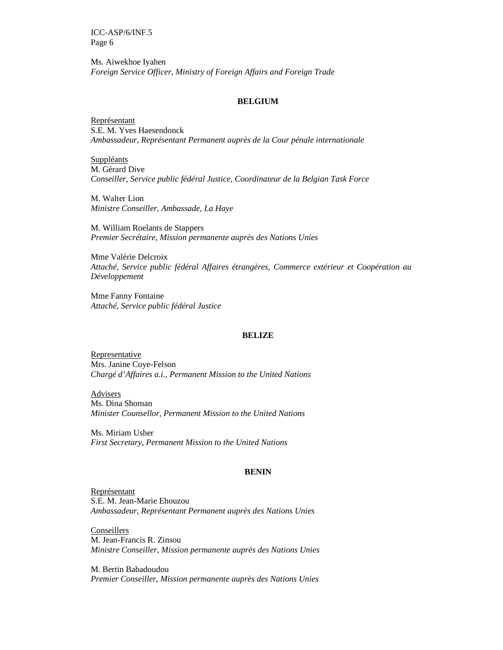Ms. Aiwekhoe Iyahen *Foreign Service Officer, Ministry of Foreign Affairs and Foreign Trade*

### **BELGIUM**

Représentant S.E. M. Yves Haesendonck *Ambassadeur, Représentant Permanent auprès de la Cour pénale internationale* 

Suppléants M. Gérard Dive *Conseiller, Service public fédéral Justice, Coordinateur de la Belgian Task Force* 

M. Walter Lion *Ministre Conseiller, Ambassade, La Haye* 

M. William Roelants de Stappers *Premier Secrétaire, Mission permanente auprès des Nations Unies* 

Mme Valérie Delcroix *Attaché, Service public fédéral Affaires étrangères, Commerce extérieur et Coopération au Développement* 

Mme Fanny Fontaine *Attaché, Service public fédéral Justice* 

#### **BELIZE**

Representative Mrs. Janine Coye-Felson *Chargé d'Affaires a.i., Permanent Mission to the United Nations* 

**Advisers** Ms. Dina Shoman *Minister Counsellor, Permanent Mission to the United Nations*

Ms. Miriam Usher *First Secretary, Permanent Mission to the United Nations* 

#### **BENIN**

Représentant S.E. M. Jean-Marie Ehouzou *Ambassadeur, Représentant Permanent auprès des Nations Unies* 

Conseillers M. Jean-Francis R. Zinsou *Ministre Conseiller, Mission permanente auprès des Nations Unies* 

M. Bertin Babadoudou *Premier Conseiller, Mission permanente auprès des Nations Unies*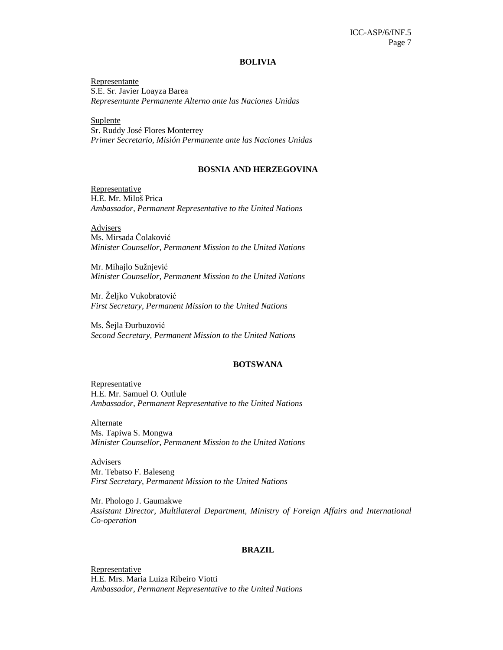#### **BOLIVIA**

Representante S.E. Sr. Javier Loayza Barea *Representante Permanente Alterno ante las Naciones Unidas* 

**Suplente** Sr. Ruddy José Flores Monterrey *Primer Secretario, Misión Permanente ante las Naciones Unidas* 

#### **BOSNIA AND HERZEGOVINA**

Representative H.E. Mr. Miloš Prica *Ambassador, Permanent Representative to the United Nations* 

Advisers Ms. Mirsada Čolaković *Minister Counsellor, Permanent Mission to the United Nations* 

Mr. Mihajlo Sužnjević *Minister Counsellor, Permanent Mission to the United Nations* 

Mr. Željko Vukobratović *First Secretary, Permanent Mission to the United Nations* 

Ms. Šejla Ðurbuzović *Second Secretary, Permanent Mission to the United Nations* 

#### **BOTSWANA**

Representative H.E. Mr. Samuel O. Outlule *Ambassador, Permanent Representative to the United Nations* 

Alternate

Ms. Tapiwa S. Mongwa *Minister Counsellor, Permanent Mission to the United Nations* 

Advisers Mr. Tebatso F. Baleseng *First Secretary, Permanent Mission to the United Nations* 

Mr. Phologo J. Gaumakwe *Assistant Director, Multilateral Department, Ministry of Foreign Affairs and International Co-operation* 

#### **BRAZIL**

Representative H.E. Mrs. Maria Luiza Ribeiro Viotti *Ambassador, Permanent Representative to the United Nations*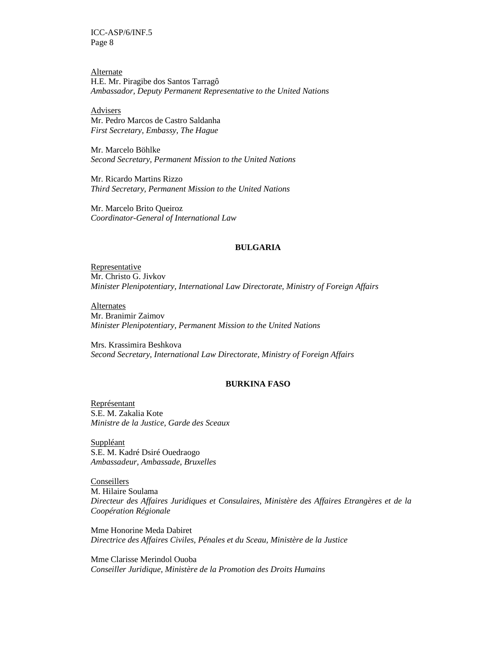Alternate H.E. Mr. Piragibe dos Santos Tarragô *Ambassador, Deputy Permanent Representative to the United Nations* 

Advisers Mr. Pedro Marcos de Castro Saldanha *First Secretary, Embassy, The Hague* 

Mr. Marcelo Böhlke *Second Secretary, Permanent Mission to the United Nations* 

Mr. Ricardo Martins Rizzo *Third Secretary, Permanent Mission to the United Nations* 

Mr. Marcelo Brito Queiroz *Coordinator-General of International Law* 

#### **BULGARIA**

Representative Mr. Christo G. Jivkov *Minister Plenipotentiary, International Law Directorate, Ministry of Foreign Affairs* 

Alternates Mr. Branimir Zaimov *Minister Plenipotentiary, Permanent Mission to the United Nations* 

Mrs. Krassimira Beshkova *Second Secretary, International Law Directorate, Ministry of Foreign Affairs* 

### **BURKINA FASO**

Représentant S.E. M. Zakalia Kote *Ministre de la Justice, Garde des Sceaux* 

Suppléant S.E. M. Kadré Dsiré Ouedraogo *Ambassadeur, Ambassade, Bruxelles* 

**Conseillers** M. Hilaire Soulama *Directeur des Affaires Juridiques et Consulaires, Ministère des Affaires Etrangères et de la Coopération Régionale* 

Mme Honorine Meda Dabiret *Directrice des Affaires Civiles, Pénales et du Sceau, Ministère de la Justice* 

Mme Clarisse Merindol Ouoba *Conseiller Juridique, Ministère de la Promotion des Droits Humains*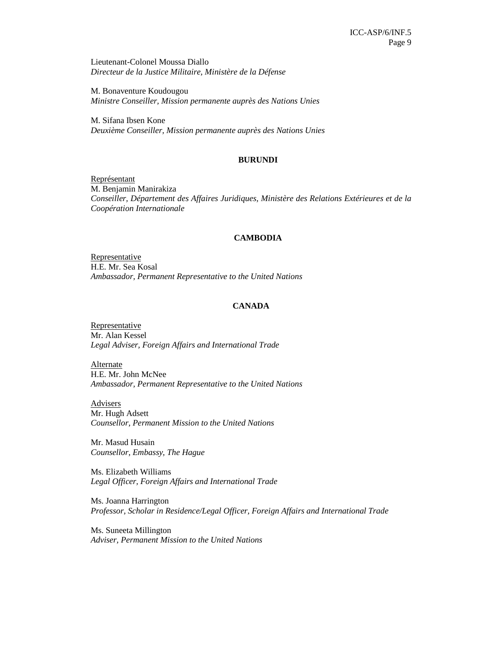Lieutenant-Colonel Moussa Diallo *Directeur de la Justice Militaire, Ministère de la Défense* 

M. Bonaventure Koudougou *Ministre Conseiller, Mission permanente auprès des Nations Unies* 

M. Sifana Ibsen Kone *Deuxième Conseiller, Mission permanente auprès des Nations Unies* 

#### **BURUNDI**

Représentant M. Benjamin Manirakiza *Conseiller, Département des Affaires Juridiques, Ministère des Relations Extérieures et de la Coopération Internationale* 

#### **CAMBODIA**

**Representative** H.E. Mr. Sea Kosal *Ambassador, Permanent Representative to the United Nations* 

#### **CANADA**

**Representative** Mr. Alan Kessel *Legal Adviser, Foreign Affairs and International Trade* 

**Alternate** H.E. Mr. John McNee *Ambassador, Permanent Representative to the United Nations* 

**Advisers** Mr. Hugh Adsett *Counsellor, Permanent Mission to the United Nations*

Mr. Masud Husain *Counsellor, Embassy, The Hague* 

Ms. Elizabeth Williams *Legal Officer, Foreign Affairs and International Trade* 

Ms. Joanna Harrington *Professor, Scholar in Residence/Legal Officer, Foreign Affairs and International Trade* 

Ms. Suneeta Millington *Adviser, Permanent Mission to the United Nations*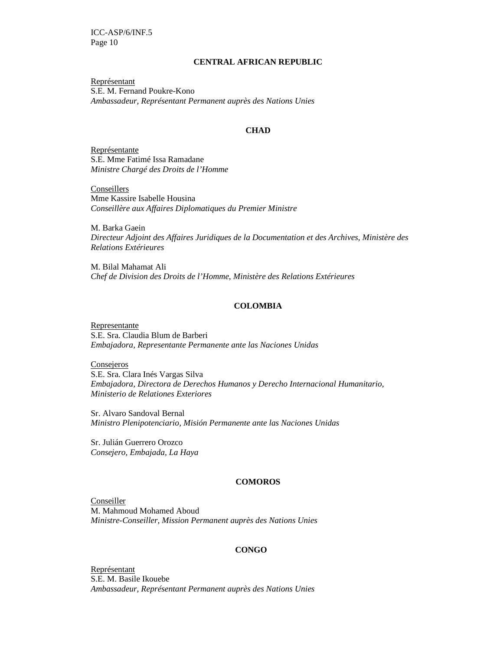### **CENTRAL AFRICAN REPUBLIC**

Représentant S.E. M. Fernand Poukre-Kono *Ambassadeur, Représentant Permanent auprès des Nations Unies* 

#### **CHAD**

Représentante S.E. Mme Fatimé Issa Ramadane *Ministre Chargé des Droits de l'Homme* 

**Conseillers** Mme Kassire Isabelle Housina *Conseillère aux Affaires Diplomatiques du Premier Ministre* 

M. Barka Gaein *Directeur Adjoint des Affaires Juridiques de la Documentation et des Archives, Ministère des Relations Extérieures* 

M. Bilal Mahamat Ali *Chef de Division des Droits de l'Homme, Ministère des Relations Extérieures* 

#### **COLOMBIA**

Representante S.E. Sra. Claudia Blum de Barberi *Embajadora, Representante Permanente ante las Naciones Unidas* 

**Consejeros** S.E. Sra. Clara Inés Vargas Silva *Embajadora, Directora de Derechos Humanos y Derecho Internacional Humanitario, Ministerio de Relationes Exteriores* 

Sr. Alvaro Sandoval Bernal *Ministro Plenipotenciario, Misión Permanente ante las Naciones Unidas* 

Sr. Julián Guerrero Orozco *Consejero, Embajada, La Haya* 

#### **COMOROS**

**Conseiller** M. Mahmoud Mohamed Aboud *Ministre-Conseiller, Mission Permanent auprès des Nations Unies*

#### **CONGO**

Représentant S.E. M. Basile Ikouebe *Ambassadeur, Représentant Permanent auprès des Nations Unies*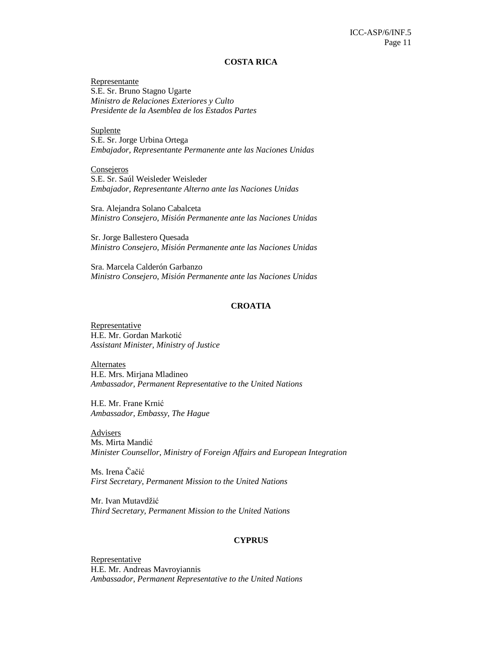#### **COSTA RICA**

Representante S.E. Sr. Bruno Stagno Ugarte *Ministro de Relaciones Exteriores y Culto Presidente de la Asemblea de los Estados Partes* 

Suplente S.E. Sr. Jorge Urbina Ortega *Embajador, Representante Permanente ante las Naciones Unidas* 

**Consejeros** S.E. Sr. Saúl Weisleder Weisleder *Embajador, Representante Alterno ante las Naciones Unidas* 

Sra. Alejandra Solano Cabalceta *Ministro Consejero, Misión Permanente ante las Naciones Unidas* 

Sr. Jorge Ballestero Quesada *Ministro Consejero, Misión Permanente ante las Naciones Unidas* 

Sra. Marcela Calderón Garbanzo *Ministro Consejero, Misión Permanente ante las Naciones Unidas* 

#### **CROATIA**

Representative H.E. Mr. Gordan Markotić *Assistant Minister, Ministry of Justice* 

**Alternates** H.E. Mrs. Mirjana Mladineo *Ambassador, Permanent Representative to the United Nations* 

H.E. Mr. Frane Krnić *Ambassador, Embassy, The Hague* 

**Advisers** Ms. Mirta Mandić *Minister Counsellor, Ministry of Foreign Affairs and European Integration* 

Ms. Irena Čačić *First Secretary, Permanent Mission to the United Nations* 

Mr. Ivan Mutavdžić *Third Secretary, Permanent Mission to the United Nations* 

#### **CYPRUS**

**Representative** H.E. Mr. Andreas Mavroyiannis *Ambassador, Permanent Representative to the United Nations*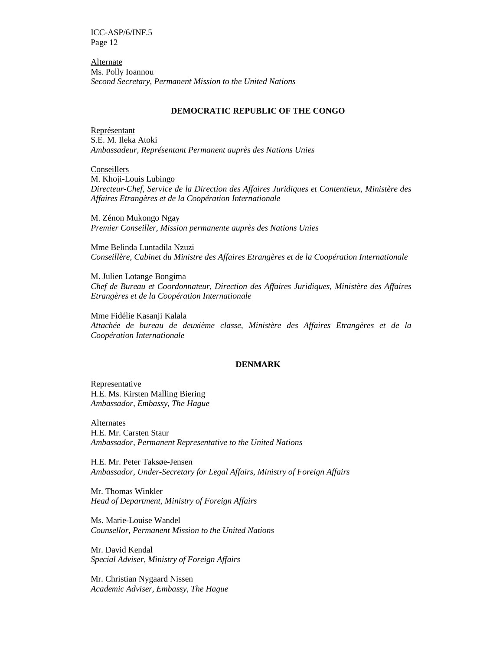Alternate Ms. Polly Ioannou *Second Secretary, Permanent Mission to the United Nations* 

#### **DEMOCRATIC REPUBLIC OF THE CONGO**

Représentant S.E. M. Ileka Atoki *Ambassadeur, Représentant Permanent auprès des Nations Unies* 

**Conseillers** M. Khoji-Louis Lubingo *Directeur-Chef, Service de la Direction des Affaires Juridiques et Contentieux, Ministère des Affaires Etrangères et de la Coopération Internationale*

M. Zénon Mukongo Ngay *Premier Conseiller, Mission permanente auprès des Nations Unies* 

Mme Belinda Luntadila Nzuzi *Conseillère, Cabinet du Ministre des Affaires Etrangères et de la Coopération Internationale* 

M. Julien Lotange Bongima *Chef de Bureau et Coordonnateur, Direction des Affaires Juridiques, Ministère des Affaires Etrangères et de la Coopération Internationale* 

Mme Fidélie Kasanji Kalala *Attachée de bureau de deuxième classe, Ministère des Affaires Etrangères et de la Coopération Internationale*

#### **DENMARK**

Representative H.E. Ms. Kirsten Malling Biering *Ambassador, Embassy, The Hague* 

Alternates H.E. Mr. Carsten Staur *Ambassador, Permanent Representative to the United Nations* 

H.E. Mr. Peter Taksøe-Jensen *Ambassador, Under-Secretary for Legal Affairs, Ministry of Foreign Affairs* 

Mr. Thomas Winkler *Head of Department, Ministry of Foreign Affairs* 

Ms. Marie-Louise Wandel *Counsellor, Permanent Mission to the United Nations*

Mr. David Kendal *Special Adviser, Ministry of Foreign Affairs* 

Mr. Christian Nygaard Nissen *Academic Adviser, Embassy, The Hague*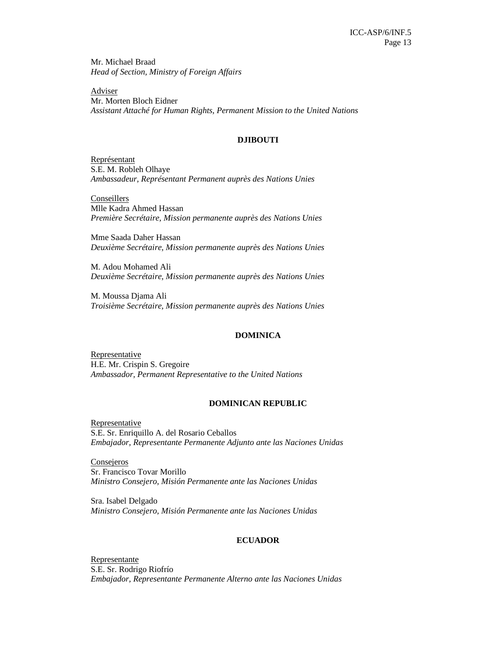Mr. Michael Braad *Head of Section, Ministry of Foreign Affairs* 

**Adviser** Mr. Morten Bloch Eidner *Assistant Attaché for Human Rights, Permanent Mission to the United Nations* 

### **DJIBOUTI**

Représentant S.E. M. Robleh Olhaye *Ambassadeur, Représentant Permanent auprès des Nations Unies* 

**Conseillers** Mlle Kadra Ahmed Hassan *Première Secrétaire, Mission permanente auprès des Nations Unies* 

Mme Saada Daher Hassan *Deuxième Secrétaire, Mission permanente auprès des Nations Unies* 

M. Adou Mohamed Ali *Deuxième Secrétaire, Mission permanente auprès des Nations Unies* 

M. Moussa Djama Ali *Troisième Secrétaire, Mission permanente auprès des Nations Unies* 

#### **DOMINICA**

Representative H.E. Mr. Crispin S. Gregoire *Ambassador, Permanent Representative to the United Nations*

#### **DOMINICAN REPUBLIC**

**Representative** S.E. Sr. Enriquillo A. del Rosario Ceballos *Embajador, Representante Permanente Adjunto ante las Naciones Unidas* 

Consejeros Sr. Francisco Tovar Morillo *Ministro Consejero, Misión Permanente ante las Naciones Unidas* 

Sra. Isabel Delgado *Ministro Consejero, Misión Permanente ante las Naciones Unidas*

#### **ECUADOR**

Representante S.E. Sr. Rodrigo Riofrío *Embajador, Representante Permanente Alterno ante las Naciones Unidas*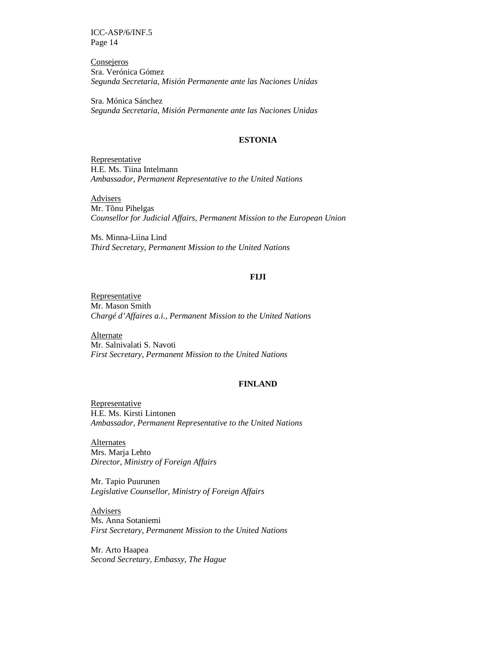**Consejeros** Sra. Verónica Gómez *Segunda Secretaria, Misión Permanente ante las Naciones Unidas* 

Sra. Mónica Sánchez *Segunda Secretaria, Misión Permanente ante las Naciones Unidas*

### **ESTONIA**

Representative H.E. Ms. Tiina Intelmann *Ambassador, Permanent Representative to the United Nations* 

**Advisers** Mr. Tõnu Pihelgas *Counsellor for Judicial Affairs, Permanent Mission to the European Union* 

Ms. Minna-Liina Lind *Third Secretary, Permanent Mission to the United Nations* 

### **FIJI**

Representative Mr. Mason Smith *Chargé d'Affaires a.i., Permanent Mission to the United Nations* 

Alternate Mr. Salnivalati S. Navoti *First Secretary, Permanent Mission to the United Nations* 

### **FINLAND**

Representative H.E. Ms. Kirsti Lintonen *Ambassador, Permanent Representative to the United Nations* 

Alternates Mrs. Marja Lehto *Director, Ministry of Foreign Affairs* 

Mr. Tapio Puurunen *Legislative Counsellor, Ministry of Foreign Affairs*

Advisers Ms. Anna Sotaniemi *First Secretary, Permanent Mission to the United Nations* 

Mr. Arto Haapea *Second Secretary, Embassy, The Hague*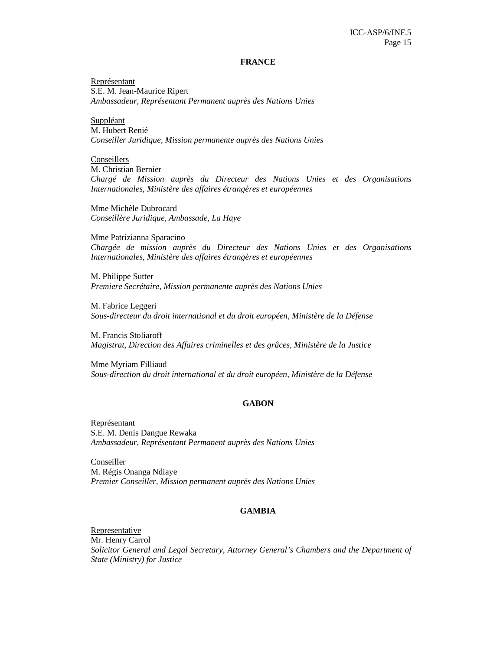#### **FRANCE**

Représentant S.E. M. Jean-Maurice Ripert *Ambassadeur, Représentant Permanent auprès des Nations Unies* 

**Suppléant** M. Hubert Renié *Conseiller Juridique, Mission permanente auprès des Nations Unies* 

Conseillers M. Christian Bernier *Chargé de Mission auprès du Directeur des Nations Unies et des Organisations Internationales, Ministère des affaires étrangères et européennes* 

Mme Michèle Dubrocard *Conseillère Juridique, Ambassade, La Haye* 

Mme Patrizianna Sparacino *Chargée de mission auprès du Directeur des Nations Unies et des Organisations Internationales, Ministère des affaires étrangères et européennes* 

M. Philippe Sutter *Premiere Secrétaire, Mission permanente auprès des Nations Unies* 

M. Fabrice Leggeri *Sous-directeur du droit international et du droit européen, Ministère de la Défense* 

M. Francis Stoliaroff *Magistrat, Direction des Affaires criminelles et des grâces, Ministère de la Justice* 

Mme Myriam Filliaud *Sous-direction du droit international et du droit européen, Ministère de la Défense* 

#### **GABON**

Représentant S.E. M. Denis Dangue Rewaka *Ambassadeur, Représentant Permanent auprès des Nations Unies* 

Conseiller M. Régis Onanga Ndiaye *Premier Conseiller, Mission permanent auprès des Nations Unies* 

#### **GAMBIA**

Representative Mr. Henry Carrol *Solicitor General and Legal Secretary*, *Attorney General's Chambers and the Department of State (Ministry) for Justice*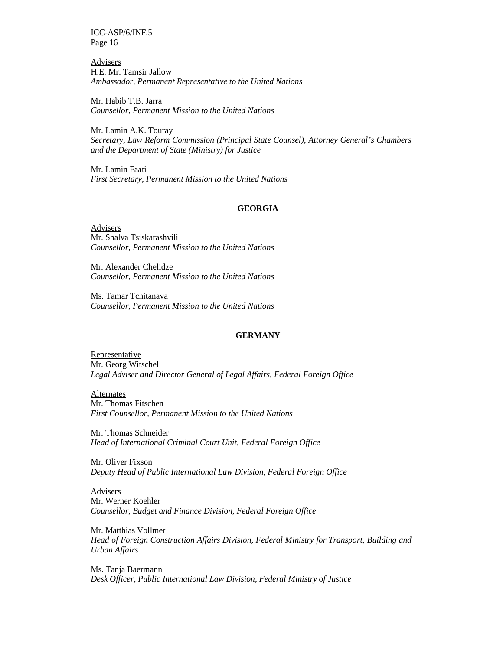Advisers H.E. Mr. Tamsir Jallow *Ambassador, Permanent Representative to the United Nations* 

Mr. Habib T.B. Jarra *Counsellor, Permanent Mission to the United Nations*

Mr. Lamin A.K. Touray *Secretary, Law Reform Commission (Principal State Counsel), Attorney General's Chambers and the Department of State (Ministry) for Justice* 

Mr. Lamin Faati *First Secretary, Permanent Mission to the United Nations* 

#### **GEORGIA**

Advisers Mr. Shalva Tsiskarashvili *Counsellor, Permanent Mission to the United Nations*

Mr. Alexander Chelidze *Counsellor, Permanent Mission to the United Nations*

Ms. Tamar Tchitanava *Counsellor, Permanent Mission to the United Nations*

### **GERMANY**

Representative Mr. Georg Witschel *Legal Adviser and Director General of Legal Affairs, Federal Foreign Office* 

Alternates Mr. Thomas Fitschen *First Counsellor, Permanent Mission to the United Nations* 

Mr. Thomas Schneider *Head of International Criminal Court Unit, Federal Foreign Office* 

Mr. Oliver Fixson *Deputy Head of Public International Law Division, Federal Foreign Office* 

Advisers Mr. Werner Koehler *Counsellor, Budget and Finance Division, Federal Foreign Office* 

Mr. Matthias Vollmer *Head of Foreign Construction Affairs Division, Federal Ministry for Transport, Building and Urban Affairs* 

Ms. Tanja Baermann *Desk Officer, Public International Law Division, Federal Ministry of Justice*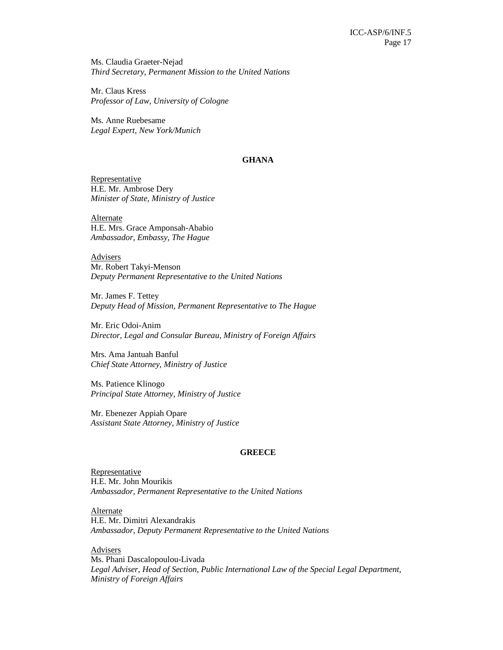Ms. Claudia Graeter-Nejad *Third Secretary, Permanent Mission to the United Nations* 

Mr. Claus Kress *Professor of Law, University of Cologne* 

Ms. Anne Ruebesame *Legal Expert, New York/Munich* 

### **GHANA**

Representative H.E. Mr. Ambrose Dery *Minister of State, Ministry of Justice* 

Alternate H.E. Mrs. Grace Amponsah-Ababio *Ambassador, Embassy, The Hague* 

**Advisers** Mr. Robert Takyi-Menson *Deputy Permanent Representative to the United Nations* 

Mr. James F. Tettey *Deputy Head of Mission, Permanent Representative to The Hague* 

Mr. Eric Odoi-Anim *Director, Legal and Consular Bureau, Ministry of Foreign Affairs* 

Mrs. Ama Jantuah Banful *Chief State Attorney, Ministry of Justice* 

Ms. Patience Klinogo *Principal State Attorney, Ministry of Justice* 

Mr. Ebenezer Appiah Opare *Assistant State Attorney, Ministry of Justice* 

#### **GREECE**

Representative H.E. Mr. John Mourikis *Ambassador, Permanent Representative to the United Nations* 

Alternate H.E. Mr. Dimitri Alexandrakis *Ambassador, Deputy Permanent Representative to the United Nations* 

**Advisers** Ms. Phani Dascalopoulou-Livada Legal Adviser, Head of Section, Public International Law of the Special Legal Department, *Ministry of Foreign Affairs*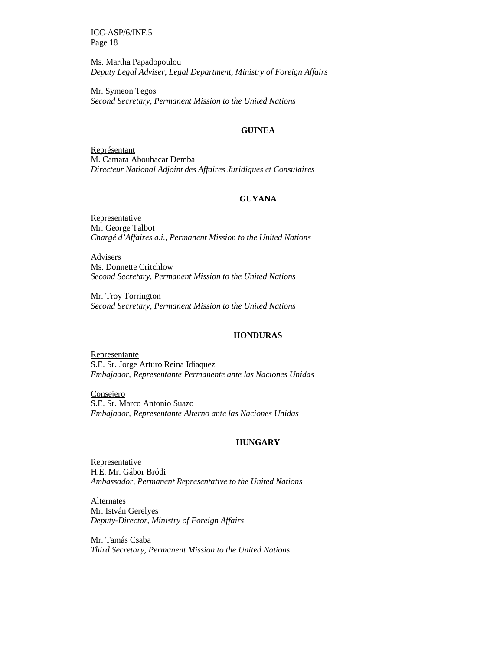Ms. Martha Papadopoulou *Deputy Legal Adviser, Legal Department, Ministry of Foreign Affairs* 

Mr. Symeon Tegos *Second Secretary, Permanent Mission to the United Nations* 

#### **GUINEA**

Représentant M. Camara Aboubacar Demba *Directeur National Adjoint des Affaires Juridiques et Consulaires* 

### **GUYANA**

Representative Mr. George Talbot *Chargé d'Affaires a.i., Permanent Mission to the United Nations* 

**Advisers** Ms. Donnette Critchlow *Second Secretary, Permanent Mission to the United Nations* 

Mr. Troy Torrington *Second Secretary, Permanent Mission to the United Nations* 

### **HONDURAS**

Representante S.E. Sr. Jorge Arturo Reina Idiaquez *Embajador, Representante Permanente ante las Naciones Unidas* 

Consejero S.E. Sr. Marco Antonio Suazo *Embajador, Representante Alterno ante las Naciones Unidas* 

#### **HUNGARY**

Representative H.E. Mr. Gábor Bródi *Ambassador, Permanent Representative to the United Nations* 

**Alternates** Mr. István Gerelyes *Deputy-Director, Ministry of Foreign Affairs* 

Mr. Tamás Csaba *Third Secretary, Permanent Mission to the United Nations*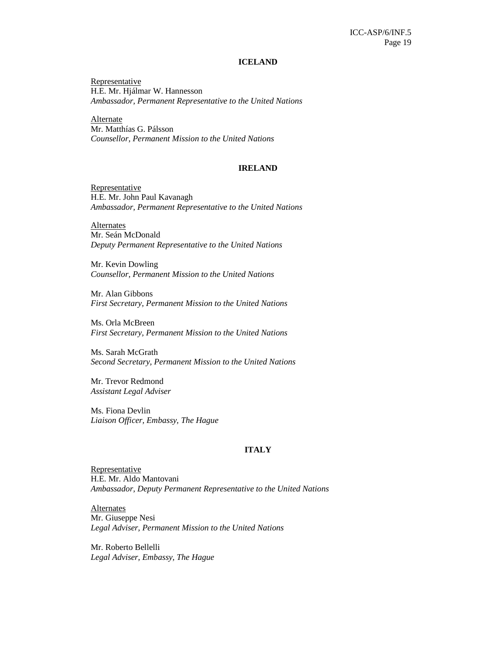#### **ICELAND**

**Representative** H.E. Mr. Hjálmar W. Hannesson *Ambassador, Permanent Representative to the United Nations* 

Alternate Mr. Matthías G. Pálsson *Counsellor, Permanent Mission to the United Nations*

#### **IRELAND**

**Representative** H.E. Mr. John Paul Kavanagh *Ambassador, Permanent Representative to the United Nations* 

**Alternates** Mr. Seán McDonald *Deputy Permanent Representative to the United Nations* 

Mr. Kevin Dowling *Counsellor, Permanent Mission to the United Nations*

Mr. Alan Gibbons *First Secretary, Permanent Mission to the United Nations* 

Ms. Orla McBreen *First Secretary, Permanent Mission to the United Nations* 

Ms. Sarah McGrath *Second Secretary, Permanent Mission to the United Nations* 

Mr. Trevor Redmond *Assistant Legal Adviser* 

Ms. Fiona Devlin *Liaison Officer, Embassy, The Hague* 

#### **ITALY**

**Representative** H.E. Mr. Aldo Mantovani *Ambassador, Deputy Permanent Representative to the United Nations* 

Alternates Mr. Giuseppe Nesi *Legal Adviser, Permanent Mission to the United Nations* 

Mr. Roberto Bellelli *Legal Adviser, Embassy, The Hague*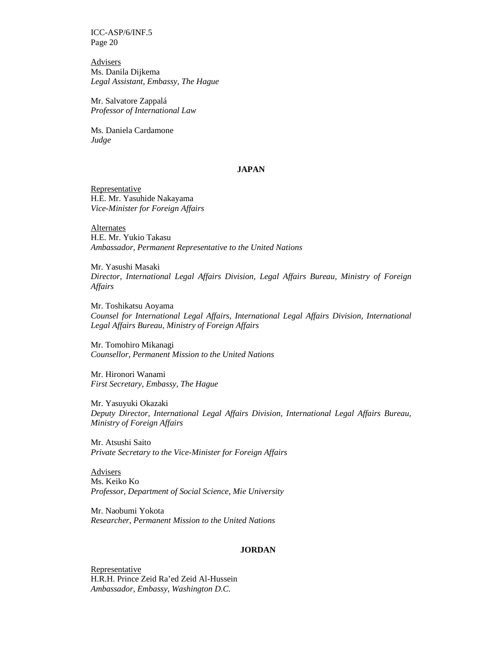**Advisers** Ms. Danila Dijkema *Legal Assistant, Embassy, The Hague* 

Mr. Salvatore Zappalá *Professor of International Law* 

Ms. Daniela Cardamone *Judge* 

#### **JAPAN**

**Representative** H.E. Mr. Yasuhide Nakayama *Vice-Minister for Foreign Affairs* 

Alternates H.E. Mr. Yukio Takasu *Ambassador, Permanent Representative to the United Nations* 

Mr. Yasushi Masaki *Director, International Legal Affairs Division, Legal Affairs Bureau, Ministry of Foreign Affairs* 

Mr. Toshikatsu Aoyama *Counsel for International Legal Affairs, International Legal Affairs Division, International Legal Affairs Bureau, Ministry of Foreign Affairs* 

Mr. Tomohiro Mikanagi *Counsellor, Permanent Mission to the United Nations*

Mr. Hironori Wanami *First Secretary, Embassy, The Hague* 

Mr. Yasuyuki Okazaki *Deputy Director, International Legal Affairs Division, International Legal Affairs Bureau, Ministry of Foreign Affairs* 

Mr. Atsushi Saito *Private Secretary to the Vice-Minister for Foreign Affairs* 

Advisers Ms. Keiko Ko *Professor, Department of Social Science, Mie University* 

Mr. Naobumi Yokota *Researcher, Permanent Mission to the United Nations*

#### **JORDAN**

Representative H.R.H. Prince Zeid Ra'ed Zeid Al-Hussein *Ambassador, Embassy, Washington D.C.*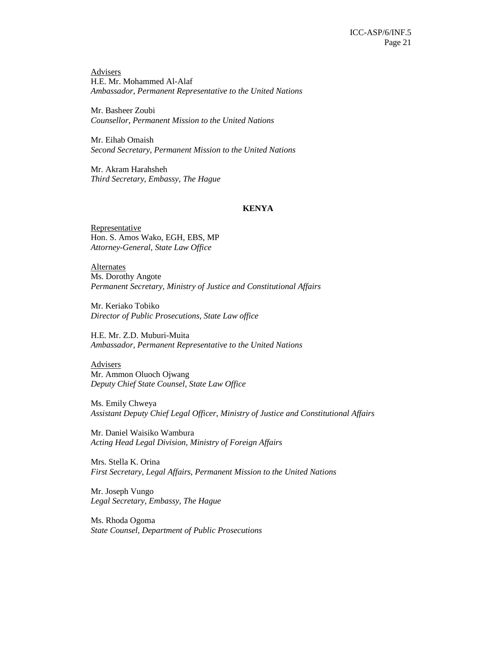**Advisers** H.E. Mr. Mohammed Al-Alaf *Ambassador, Permanent Representative to the United Nations* 

Mr. Basheer Zoubi *Counsellor, Permanent Mission to the United Nations*

Mr. Eihab Omaish *Second Secretary, Permanent Mission to the United Nations* 

Mr. Akram Harahsheh *Third Secretary, Embassy, The Hague* 

### **KENYA**

**Representative** Hon. S. Amos Wako, EGH, EBS, MP *Attorney-General, State Law Office* 

**Alternates** Ms. Dorothy Angote *Permanent Secretary, Ministry of Justice and Constitutional Affairs* 

Mr. Keriako Tobiko *Director of Public Prosecutions, State Law office* 

H.E. Mr. Z.D. Muburi-Muita *Ambassador, Permanent Representative to the United Nations*

**Advisers** Mr. Ammon Oluoch Ojwang *Deputy Chief State Counsel, State Law Office* 

Ms. Emily Chweya *Assistant Deputy Chief Legal Officer, Ministry of Justice and Constitutional Affairs* 

Mr. Daniel Waisiko Wambura *Acting Head Legal Division, Ministry of Foreign Affairs* 

Mrs. Stella K. Orina *First Secretary, Legal Affairs, Permanent Mission to the United Nations* 

Mr. Joseph Vungo *Legal Secretary, Embassy, The Hague* 

Ms. Rhoda Ogoma *State Counsel, Department of Public Prosecutions*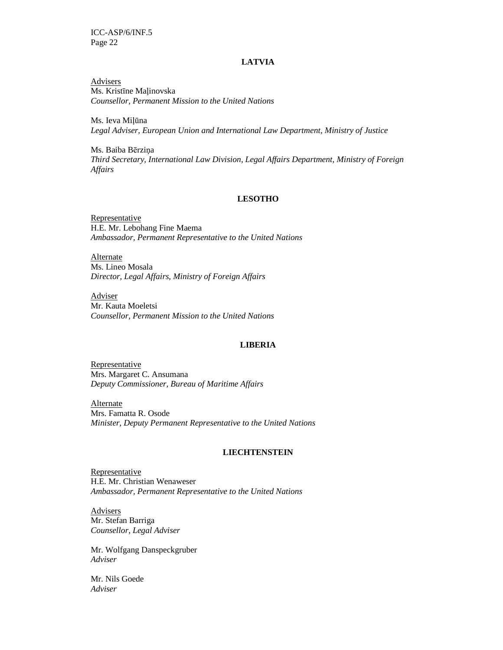#### **LATVIA**

**Advisers** Ms. Kristīne Maļinovska *Counsellor, Permanent Mission to the United Nations*

Ms. Ieva Milūna *Legal Adviser, European Union and International Law Department, Ministry of Justice* 

Ms. Baiba Bērziņa *Third Secretary, International Law Division, Legal Affairs Department, Ministry of Foreign Affairs* 

#### **LESOTHO**

Representative H.E. Mr. Lebohang Fine Maema *Ambassador, Permanent Representative to the United Nations* 

**Alternate** Ms. Lineo Mosala *Director, Legal Affairs, Ministry of Foreign Affairs* 

Adviser Mr. Kauta Moeletsi *Counsellor, Permanent Mission to the United Nations*

#### **LIBERIA**

Representative Mrs. Margaret C. Ansumana *Deputy Commissioner, Bureau of Maritime Affairs* 

Alternate Mrs. Famatta R. Osode *Minister, Deputy Permanent Representative to the United Nations* 

#### **LIECHTENSTEIN**

Representative H.E. Mr. Christian Wenaweser *Ambassador, Permanent Representative to the United Nations* 

Advisers Mr. Stefan Barriga *Counsellor, Legal Adviser* 

Mr. Wolfgang Danspeckgruber *Adviser* 

Mr. Nils Goede *Adviser*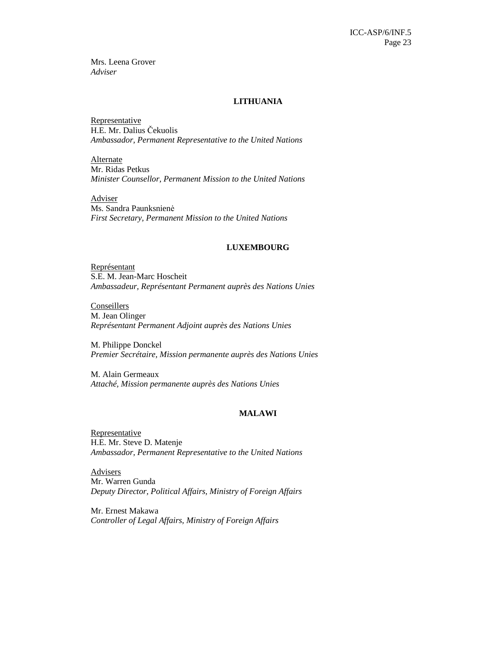Mrs. Leena Grover *Adviser* 

### **LITHUANIA**

**Representative** H.E. Mr. Dalius Čekuolis *Ambassador, Permanent Representative to the United Nations* 

Alternate Mr. Ridas Petkus *Minister Counsellor, Permanent Mission to the United Nations* 

Adviser Ms. Sandra Paunksnienė *First Secretary, Permanent Mission to the United Nations* 

#### **LUXEMBOURG**

Représentant S.E. M. Jean-Marc Hoscheit *Ambassadeur, Représentant Permanent auprès des Nations Unies* 

**Conseillers** M. Jean Olinger *Représentant Permanent Adjoint auprès des Nations Unies* 

M. Philippe Donckel *Premier Secrétaire, Mission permanente auprès des Nations Unies* 

M. Alain Germeaux *Attaché, Mission permanente auprès des Nations Unies* 

### **MALAWI**

**Representative** H.E. Mr. Steve D. Matenje *Ambassador, Permanent Representative to the United Nations* 

Advisers Mr. Warren Gunda *Deputy Director, Political Affairs, Ministry of Foreign Affairs* 

Mr. Ernest Makawa *Controller of Legal Affairs, Ministry of Foreign Affairs*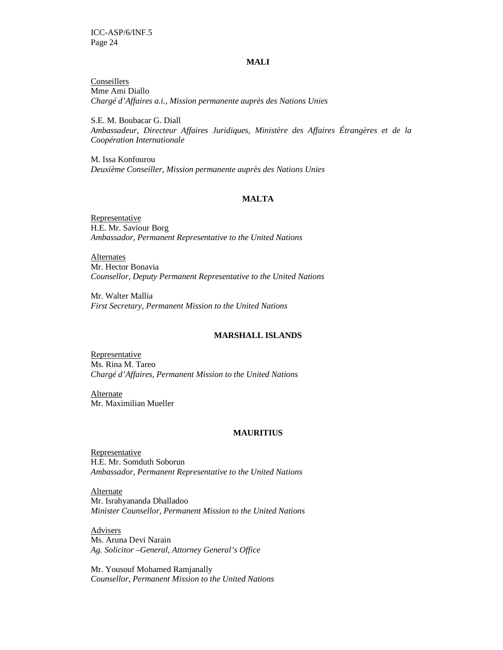#### **MALI**

**Conseillers** Mme Ami Diallo *Chargé d'Affaires a.i., Mission permanente auprès des Nations Unies* 

S.E. M. Boubacar G. Diall *Ambassadeur, Directeur Affaires Juridiques, Ministère des Affaires Étrangères et de la Coopération Internationale* 

M. Issa Konfourou *Deuxième Conseiller, Mission permanente auprès des Nations Unies* 

### **MALTA**

Representative H.E. Mr. Saviour Borg *Ambassador, Permanent Representative to the United Nations* 

**Alternates** Mr. Hector Bonavia *Counsellor, Deputy Permanent Representative to the United Nations* 

Mr. Walter Mallia *First Secretary, Permanent Mission to the United Nations*

### **MARSHALL ISLANDS**

Representative Ms. Rina M. Tareo *Chargé d'Affaires, Permanent Mission to the United Nations* 

Alternate Mr. Maximilian Mueller

#### **MAURITIUS**

Representative H.E. Mr. Somduth Soborun *Ambassador, Permanent Representative to the United Nations* 

**Alternate** Mr. Israhyananda Dhalladoo *Minister Counsellor, Permanent Mission to the United Nations* 

Advisers Ms. Aruna Devi Narain *Ag. Solicitor –General, Attorney General's Office* 

Mr. Yousouf Mohamed Ramjanally *Counsellor, Permanent Mission to the United Nations*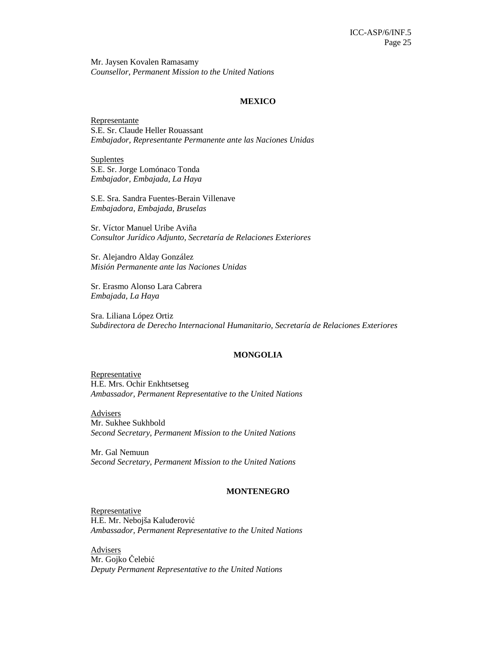Mr. Jaysen Kovalen Ramasamy *Counsellor, Permanent Mission to the United Nations*

#### **MEXICO**

Representante S.E. Sr. Claude Heller Rouassant *Embajador, Representante Permanente ante las Naciones Unidas* 

Suplentes S.E. Sr. Jorge Lomónaco Tonda *Embajador, Embajada, La Haya* 

S.E. Sra. Sandra Fuentes-Berain Villenave *Embajadora, Embajada, Bruselas* 

Sr. Víctor Manuel Uribe Aviña *Consultor Jurídico Adjunto, Secretaría de Relaciones Exteriores* 

Sr. Alejandro Alday González *Misión Permanente ante las Naciones Unidas* 

Sr. Erasmo Alonso Lara Cabrera *Embajada, La Haya* 

Sra. Liliana López Ortiz *Subdirectora de Derecho Internacional Humanitario, Secretaría de Relaciones Exteriores* 

#### **MONGOLIA**

**Representative** H.E. Mrs. Ochir Enkhtsetseg *Ambassador, Permanent Representative to the United Nations* 

Advisers Mr. Sukhee Sukhbold *Second Secretary, Permanent Mission to the United Nations*

Mr. Gal Nemuun *Second Secretary, Permanent Mission to the United Nations* 

#### **MONTENEGRO**

Representative H.E. Mr. Nebojša Kaluđerović *Ambassador, Permanent Representative to the United Nations* 

**Advisers** Mr. Gojko Čelebić *Deputy Permanent Representative to the United Nations*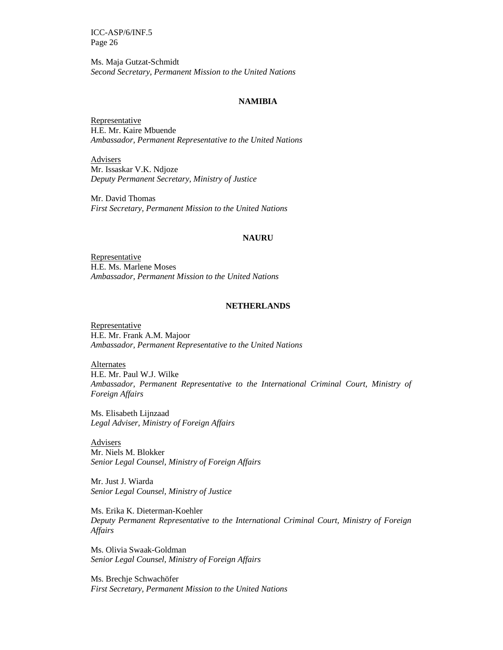Ms. Maja Gutzat-Schmidt *Second Secretary, Permanent Mission to the United Nations* 

### **NAMIBIA**

**Representative** H.E. Mr. Kaire Mbuende *Ambassador, Permanent Representative to the United Nations* 

Advisers Mr. Issaskar V.K. Ndjoze *Deputy Permanent Secretary, Ministry of Justice* 

Mr. David Thomas *First Secretary, Permanent Mission to the United Nations* 

#### **NAURU**

Representative H.E. Ms. Marlene Moses *Ambassador, Permanent Mission to the United Nations*

#### **NETHERLANDS**

Representative H.E. Mr. Frank A.M. Majoor *Ambassador, Permanent Representative to the United Nations* 

**Alternates** H.E. Mr. Paul W.J. Wilke *Ambassador, Permanent Representative to the International Criminal Court, Ministry of Foreign Affairs* 

Ms. Elisabeth Lijnzaad *Legal Adviser, Ministry of Foreign Affairs* 

Advisers Mr. Niels M. Blokker *Senior Legal Counsel, Ministry of Foreign Affairs* 

Mr. Just J. Wiarda *Senior Legal Counsel, Ministry of Justice* 

Ms. Erika K. Dieterman-Koehler *Deputy Permanent Representative to the International Criminal Court, Ministry of Foreign Affairs* 

Ms. Olivia Swaak-Goldman *Senior Legal Counsel, Ministry of Foreign Affairs* 

Ms. Brechje Schwachöfer *First Secretary, Permanent Mission to the United Nations*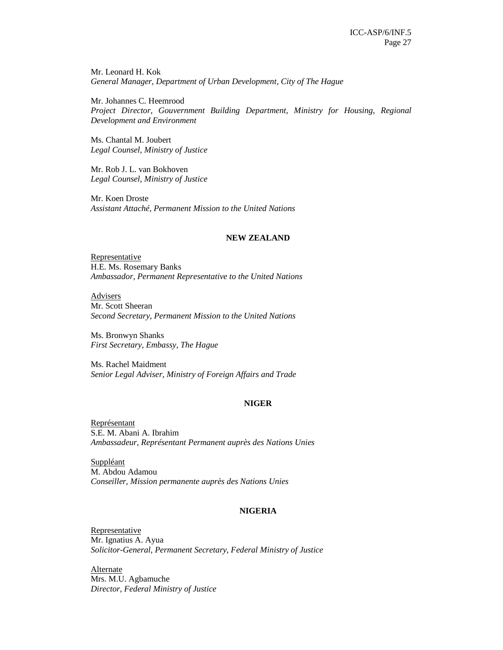Mr. Leonard H. Kok *General Manager, Department of Urban Development, City of The Hague* 

Mr. Johannes C. Heemrood *Project Director, Gouvernment Building Department, Ministry for Housing, Regional Development and Environment* 

Ms. Chantal M. Joubert *Legal Counsel, Ministry of Justice* 

Mr. Rob J. L. van Bokhoven *Legal Counsel, Ministry of Justice* 

Mr. Koen Droste *Assistant Attaché, Permanent Mission to the United Nations* 

#### **NEW ZEALAND**

**Representative** H.E. Ms. Rosemary Banks *Ambassador, Permanent Representative to the United Nations* 

Advisers Mr. Scott Sheeran *Second Secretary, Permanent Mission to the United Nations* 

Ms. Bronwyn Shanks *First Secretary, Embassy, The Hague* 

Ms. Rachel Maidment *Senior Legal Adviser, Ministry of Foreign Affairs and Trade* 

#### **NIGER**

Représentant S.E. M. Abani A. Ibrahim *Ambassadeur, Représentant Permanent auprès des Nations Unies* 

Suppléant M. Abdou Adamou *Conseiller, Mission permanente auprès des Nations Unies* 

#### **NIGERIA**

Representative Mr. Ignatius A. Ayua *Solicitor-General, Permanent Secretary, Federal Ministry of Justice* 

Alternate Mrs. M.U. Agbamuche *Director, Federal Ministry of Justice*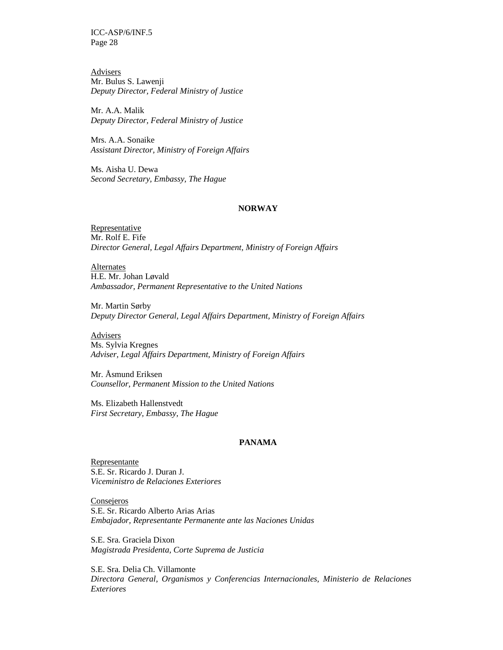**Advisers** Mr. Bulus S. Lawenji *Deputy Director, Federal Ministry of Justice* 

Mr. A.A. Malik *Deputy Director, Federal Ministry of Justice* 

Mrs. A.A. Sonaike *Assistant Director, Ministry of Foreign Affairs* 

Ms. Aisha U. Dewa *Second Secretary, Embassy, The Hague* 

#### **NORWAY**

**Representative** Mr. Rolf E. Fife *Director General, Legal Affairs Department, Ministry of Foreign Affairs* 

**Alternates** H.E. Mr. Johan Løvald *Ambassador, Permanent Representative to the United Nations* 

Mr. Martin Sørby *Deputy Director General, Legal Affairs Department, Ministry of Foreign Affairs* 

Advisers Ms. Sylvia Kregnes *Adviser, Legal Affairs Department, Ministry of Foreign Affairs* 

Mr. Åsmund Eriksen *Counsellor, Permanent Mission to the United Nations*

Ms. Elizabeth Hallenstvedt *First Secretary, Embassy, The Hague* 

### **PANAMA**

Representante S.E. Sr. Ricardo J. Duran J. *Viceministro de Relaciones Exteriores* 

**Consejeros** S.E. Sr. Ricardo Alberto Arias Arias *Embajador, Representante Permanente ante las Naciones Unidas* 

S.E. Sra. Graciela Dixon *Magistrada Presidenta, Corte Suprema de Justicia* 

S.E. Sra. Delia Ch. Villamonte *Directora General, Organismos y Conferencias Internacionales, Ministerio de Relaciones Exteriores*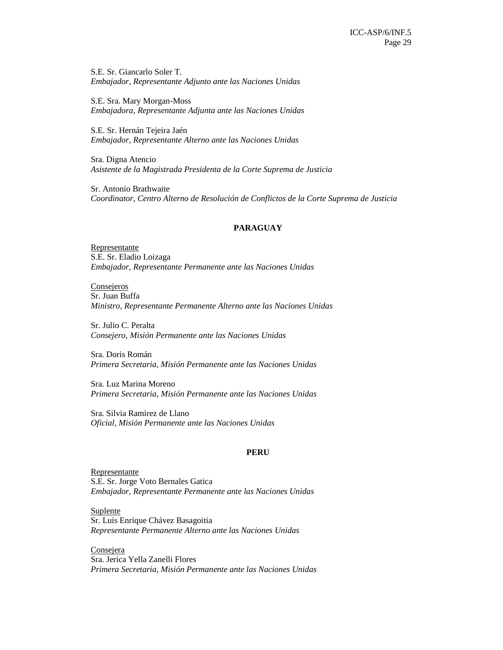S.E. Sr. Giancarlo Soler T. *Embajador, Representante Adjunto ante las Naciones Unidas* 

S.E. Sra. Mary Morgan-Moss *Embajadora, Representante Adjunta ante las Naciones Unidas* 

S.E. Sr. Hernán Tejeira Jaén *Embajador, Representante Alterno ante las Naciones Unidas*

Sra. Digna Atencio *Asistente de la Magistrada Presidenta de la Corte Suprema de Justicia* 

Sr. Antonio Brathwaite *Coordinator, Centro Alterno de Resolución de Conflictos de la Corte Suprema de Justicia* 

#### **PARAGUAY**

Representante S.E. Sr. Eladio Loizaga *Embajador, Representante Permanente ante las Naciones Unidas* 

**Consejeros** Sr. Juan Buffa *Ministro, Representante Permanente Alterno ante las Naciones Unidas* 

Sr. Julio C. Peralta *Consejero, Misión Permanente ante las Naciones Unidas* 

Sra. Doris Román *Primera Secretaria, Misión Permanente ante las Naciones Unidas* 

Sra. Luz Marina Moreno *Primera Secretaria, Misión Permanente ante las Naciones Unidas*

Sra. Silvia Ramirez de Llano *Oficial, Misión Permanente ante las Naciones Unidas*

#### **PERU**

Representante S.E. Sr. Jorge Voto Bernales Gatica *Embajador, Representante Permanente ante las Naciones Unidas* 

Suplente Sr. Luis Enrique Chávez Basagoitia *Representante Permanente Alterno ante las Naciones Unidas* 

**Consejera** Sra. Jerica Yella Zanelli Flores *Primera Secretaria, Misión Permanente ante las Naciones Unidas*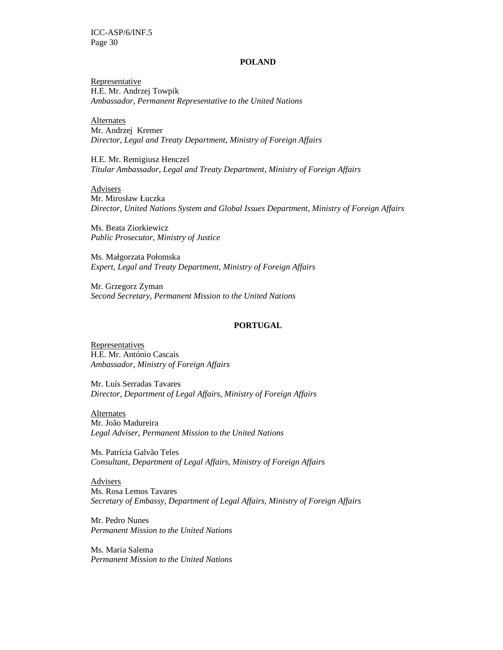#### **POLAND**

**Representative** H.E. Mr. Andrzej Towpik *Ambassador, Permanent Representative to the United Nations* 

**Alternates** Mr. Andrzej Kremer *Director, Legal and Treaty Department, Ministry of Foreign Affairs* 

H.E. Mr. Remigiusz Henczel *Titular Ambassador, Legal and Treaty Department, Ministry of Foreign Affairs* 

Advisers Mr. Mirosław Łuczka *Director, United Nations System and Global Issues Department*, *Ministry of Foreign Affairs* 

Ms. Beata Ziorkiewicz *Public Prosecutor, Ministry of Justice* 

Ms. Małgorzata Połomska *Expert, Legal and Treaty Department, Ministry of Foreign Affairs* 

Mr. Grzegorz Zyman *Second Secretary, Permanent Mission to the United Nations* 

### **PORTUGAL**

**Representatives** H.E. Mr. António Cascais *Ambassador, Ministry of Foreign Affairs*

Mr. Luís Serradas Tavares *Director, Department of Legal Affairs, Ministry of Foreign Affairs* 

Alternates Mr. João Madureira *Legal Adviser, Permanent Mission to the United Nations* 

Ms. Patrícia Galvão Teles *Consultant, Department of Legal Affairs, Ministry of Foreign Affairs* 

**Advisers** Ms. Rosa Lemos Tavares *Secretary of Embassy, Department of Legal Affairs, Ministry of Foreign Affairs* 

Mr. Pedro Nunes *Permanent Mission to the United Nations* 

Ms. Maria Salema *Permanent Mission to the United Nations*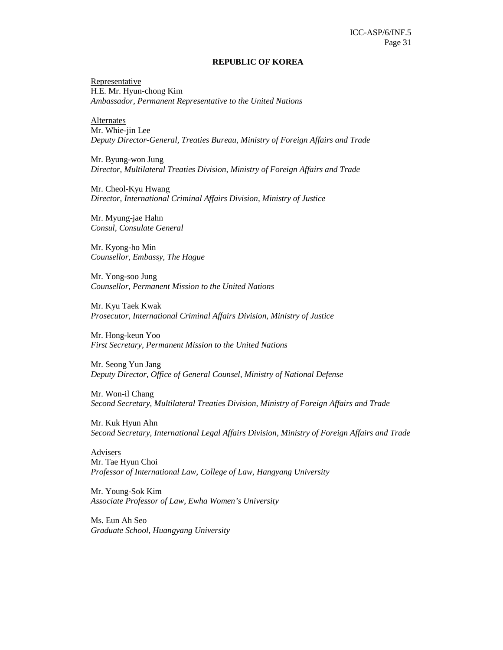#### **REPUBLIC OF KOREA**

**Representative** H.E. Mr. Hyun-chong Kim *Ambassador, Permanent Representative to the United Nations* 

**Alternates** Mr. Whie-jin Lee *Deputy Director-General, Treaties Bureau, Ministry of Foreign Affairs and Trade* 

Mr. Byung-won Jung *Director, Multilateral Treaties Division, Ministry of Foreign Affairs and Trade* 

Mr. Cheol-Kyu Hwang *Director, International Criminal Affairs Division, Ministry of Justice* 

Mr. Myung-jae Hahn *Consul, Consulate General* 

Mr. Kyong-ho Min *Counsellor, Embassy, The Hague* 

Mr. Yong-soo Jung *Counsellor, Permanent Mission to the United Nations*

Mr. Kyu Taek Kwak *Prosecutor, International Criminal Affairs Division, Ministry of Justice* 

Mr. Hong-keun Yoo *First Secretary, Permanent Mission to the United Nations* 

Mr. Seong Yun Jang *Deputy Director, Office of General Counsel, Ministry of National Defense* 

Mr. Won-il Chang *Second Secretary, Multilateral Treaties Division, Ministry of Foreign Affairs and Trade* 

Mr. Kuk Hyun Ahn *Second Secretary, International Legal Affairs Division, Ministry of Foreign Affairs and Trade* 

Advisers Mr. Tae Hyun Choi *Professor of International Law, College of Law, Hangyang University* 

Mr. Young-Sok Kim *Associate Professor of Law, Ewha Women's University*

Ms. Eun Ah Seo *Graduate School, Huangyang University*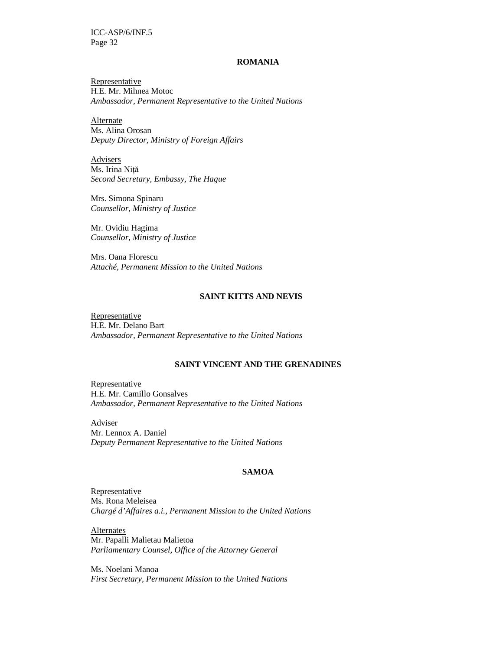#### **ROMANIA**

Representative H.E. Mr. Mihnea Motoc *Ambassador, Permanent Representative to the United Nations* 

Alternate Ms. Alina Orosan *Deputy Director, Ministry of Foreign Affairs* 

Advisers Ms. Irina Niță *Second Secretary, Embassy, The Hague* 

Mrs. Simona Spinaru *Counsellor, Ministry of Justice* 

Mr. Ovidiu Hagima *Counsellor, Ministry of Justice* 

Mrs. Oana Florescu *Attaché, Permanent Mission to the United Nations* 

### **SAINT KITTS AND NEVIS**

**Representative** H.E. Mr. Delano Bart *Ambassador, Permanent Representative to the United Nations*

#### **SAINT VINCENT AND THE GRENADINES**

Representative H.E. Mr. Camillo Gonsalves *Ambassador, Permanent Representative to the United Nations* 

**Adviser** Mr. Lennox A. Daniel *Deputy Permanent Representative to the United Nations* 

#### **SAMOA**

**Representative** Ms. Rona Meleisea *Chargé d'Affaires a.i., Permanent Mission to the United Nations* 

Alternates Mr. Papalli Malietau Malietoa *Parliamentary Counsel, Office of the Attorney General* 

Ms. Noelani Manoa *First Secretary, Permanent Mission to the United Nations*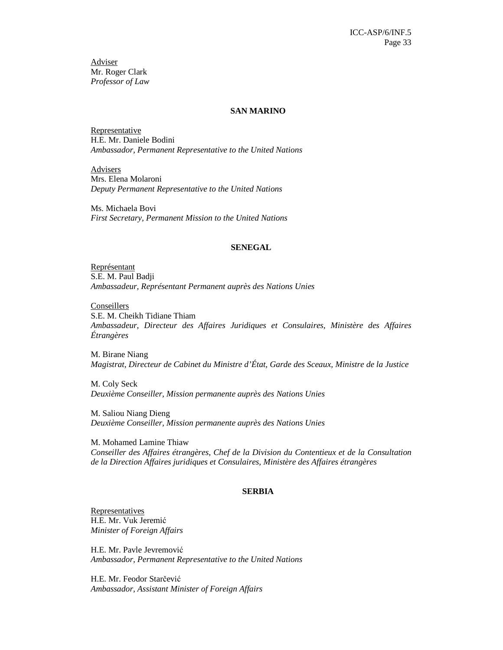Adviser Mr. Roger Clark *Professor of Law* 

#### **SAN MARINO**

**Representative** H.E. Mr. Daniele Bodini *Ambassador, Permanent Representative to the United Nations* 

**Advisers** Mrs. Elena Molaroni *Deputy Permanent Representative to the United Nations* 

Ms. Michaela Bovi *First Secretary, Permanent Mission to the United Nations* 

#### **SENEGAL**

Représentant S.E. M. Paul Badji *Ambassadeur, Représentant Permanent auprès des Nations Unies* 

**Conseillers** S.E. M. Cheikh Tidiane Thiam *Ambassadeur, Directeur des Affaires Juridiques et Consulaires, Ministère des Affaires Étrangères* 

M. Birane Niang *Magistrat, Directeur de Cabinet du Ministre d'État, Garde des Sceaux, Ministre de la Justice* 

M. Coly Seck *Deuxième Conseiller, Mission permanente auprès des Nations Unies* 

M. Saliou Niang Dieng *Deuxième Conseiller, Mission permanente auprès des Nations Unies* 

M. Mohamed Lamine Thiaw *Conseiller des Affaires étrangères, Chef de la Division du Contentieux et de la Consultation de la Direction Affaires juridiques et Consulaires, Ministère des Affaires étrangères* 

#### **SERBIA**

Representatives H.E. Mr. Vuk Jeremić *Minister of Foreign Affairs* 

H.E. Mr. Pavle Jevremović *Ambassador, Permanent Representative to the United Nations* 

H.E. Mr. Feodor Starčević *Ambassador, Assistant Minister of Foreign Affairs*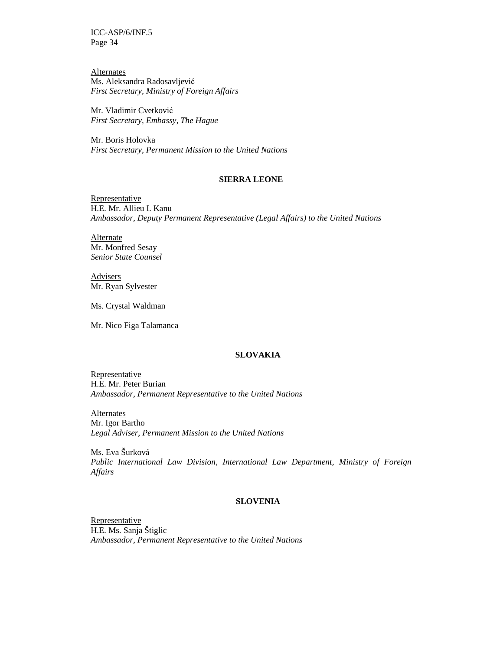Alternates Ms. Aleksandra Radosavljević *First Secretary, Ministry of Foreign Affairs* 

Mr. Vladimir Cvetković *First Secretary, Embassy, The Hague* 

Mr. Boris Holovka *First Secretary, Permanent Mission to the United Nations* 

#### **SIERRA LEONE**

**Representative** H.E. Mr. Allieu I. Kanu *Ambassador, Deputy Permanent Representative (Legal Affairs) to the United Nations*

**Alternate** Mr. Monfred Sesay *Senior State Counsel* 

Advisers Mr. Ryan Sylvester

Ms. Crystal Waldman

Mr. Nico Figa Talamanca

### **SLOVAKIA**

Representative H.E. Mr. Peter Burian *Ambassador, Permanent Representative to the United Nations* 

Alternates Mr. Igor Bartho *Legal Adviser, Permanent Mission to the United Nations* 

Ms. Eva Šurková *Public International Law Division, International Law Department, Ministry of Foreign Affairs* 

### **SLOVENIA**

**Representative** H.E. Ms. Sanja Štiglic *Ambassador, Permanent Representative to the United Nations*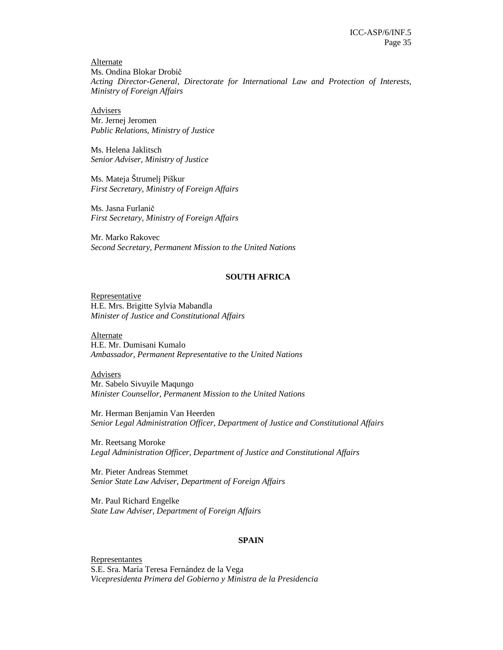Alternate Ms. Ondina Blokar Drobič *Acting Director-General, Directorate for International Law and Protection of Interests, Ministry of Foreign Affairs* 

Advisers Mr. Jernej Jeromen *Public Relations, Ministry of Justice* 

Ms. Helena Jaklitsch *Senior Adviser, Ministry of Justice* 

Ms. Mateja Štrumelj Piškur *First Secretary, Ministry of Foreign Affairs* 

Ms. Jasna Furlanič *First Secretary, Ministry of Foreign Affairs* 

Mr. Marko Rakovec *Second Secretary, Permanent Mission to the United Nations* 

### **SOUTH AFRICA**

Representative H.E. Mrs. Brigitte Sylvia Mabandla *Minister of Justice and Constitutional Affairs* 

Alternate H.E. Mr. Dumisani Kumalo *Ambassador, Permanent Representative to the United Nations* 

**Advisers** Mr. Sabelo Sivuyile Maqungo *Minister Counsellor, Permanent Mission to the United Nations* 

Mr. Herman Benjamin Van Heerden *Senior Legal Administration Officer, Department of Justice and Constitutional Affairs* 

Mr. Reetsang Moroke *Legal Administration Officer, Department of Justice and Constitutional Affairs* 

Mr. Pieter Andreas Stemmet *Senior State Law Adviser, Department of Foreign Affairs* 

Mr. Paul Richard Engelke *State Law Adviser, Department of Foreign Affairs* 

#### **SPAIN**

Representantes S.E. Sra. María Teresa Fernández de la Vega *Vicepresidenta Primera del Gobierno y Ministra de la Presidencia*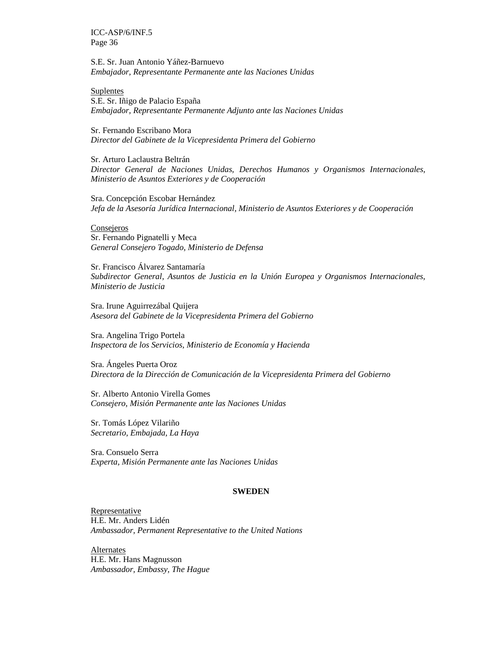S.E. Sr. Juan Antonio Yáñez-Barnuevo *Embajador, Representante Permanente ante las Naciones Unidas* 

Suplentes S.E. Sr. Iñigo de Palacio España *Embajador, Representante Permanente Adjunto ante las Naciones Unidas* 

Sr. Fernando Escribano Mora *Director del Gabinete de la Vicepresidenta Primera del Gobierno* 

Sr. Arturo Laclaustra Beltrán *Director General de Naciones Unidas, Derechos Humanos y Organismos Internacionales, Ministerio de Asuntos Exteriores y de Cooperación* 

Sra. Concepción Escobar Hernández *Jefa de la Asesoría Jurídica Internacional, Ministerio de Asuntos Exteriores y de Cooperación* 

**Consejeros** Sr. Fernando Pignatelli y Meca *General Consejero Togado, Ministerio de Defensa* 

Sr. Francisco Álvarez Santamaría *Subdirector General, Asuntos de Justicia en la Unión Europea y Organismos Internacionales, Ministerio de Justicia* 

Sra. Irune Aguirrezábal Quijera *Asesora del Gabinete de la Vicepresidenta Primera del Gobierno* 

Sra. Angelina Trigo Portela *Inspectora de los Servicios, Ministerio de Economía y Hacienda* 

Sra. Ángeles Puerta Oroz *Directora de la Dirección de Comunicación de la Vicepresidenta Primera del Gobierno* 

Sr. Alberto Antonio Virella Gomes *Consejero, Misión Permanente ante las Naciones Unidas* 

Sr. Tomás López Vilariño *Secretario, Embajada, La Haya* 

Sra. Consuelo Serra *Experta, Misión Permanente ante las Naciones Unidas*

#### **SWEDEN**

Representative H.E. Mr. Anders Lidén *Ambassador, Permanent Representative to the United Nations* 

Alternates H.E. Mr. Hans Magnusson *Ambassador, Embassy, The Hague*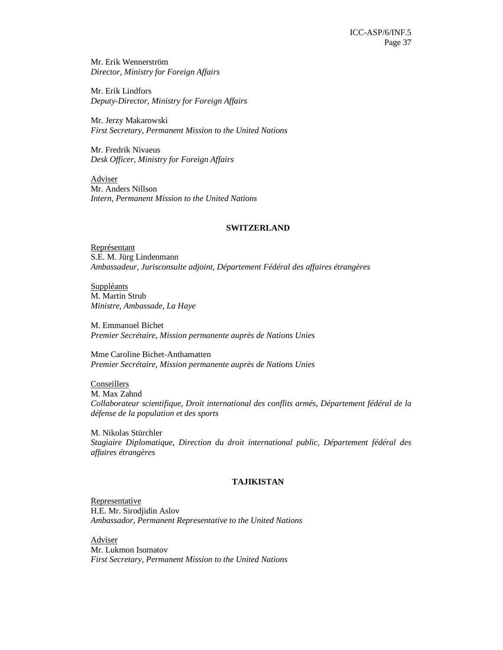Mr. Erik Wennerström *Director, Ministry for Foreign Affairs* 

Mr. Erik Lindfors *Deputy-Director, Ministry for Foreign Affairs* 

Mr. Jerzy Makarowski *First Secretary, Permanent Mission to the United Nations* 

Mr. Fredrik Nivaeus *Desk Officer, Ministry for Foreign Affairs* 

Adviser Mr. Anders Nillson *Intern, Permanent Mission to the United Nations* 

#### **SWITZERLAND**

Représentant S.E. M. Jürg Lindenmann *Ambassadeur, Jurisconsulte adjoint, Département Fédéral des affaires étrangères* 

Suppléants M. Martin Strub *Ministre, Ambassade, La Haye* 

M. Emmanuel Bichet *Premier Secrétaire, Mission permanente auprès de Nations Unies* 

Mme Caroline Bichet-Anthamatten *Premier Secrétaire, Mission permanente auprès de Nations Unies* 

**Conseillers** M. Max Zahnd *Collaborateur scientifique, Droit international des conflits armés, Département fédéral de la défense de la population et des sports* 

M. Nikolas Stürchler *Stagiaire Diplomatique, Direction du droit international public, Département fédéral des affaires étrangères* 

### **TAJIKISTAN**

**Representative** H.E. Mr. Sirodjidin Aslov *Ambassador, Permanent Representative to the United Nations*

Adviser Mr. Lukmon Isomatov *First Secretary, Permanent Mission to the United Nations*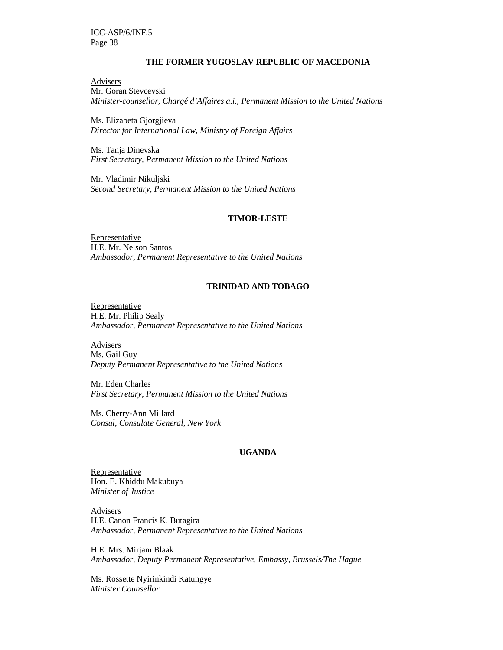### **THE FORMER YUGOSLAV REPUBLIC OF MACEDONIA**

**Advisers** Mr. Goran Stevcevski *Minister-counsellor, Chargé d'Affaires a.i., Permanent Mission to the United Nations* 

Ms. Elizabeta Gjorgjieva *Director for International Law, Ministry of Foreign Affairs* 

Ms. Tanja Dinevska *First Secretary, Permanent Mission to the United Nations* 

Mr. Vladimir Nikuljski *Second Secretary, Permanent Mission to the United Nations* 

#### **TIMOR-LESTE**

Representative H.E. Mr. Nelson Santos *Ambassador, Permanent Representative to the United Nations* 

#### **TRINIDAD AND TOBAGO**

**Representative** H.E. Mr. Philip Sealy *Ambassador, Permanent Representative to the United Nations* 

**Advisers** Ms. Gail Guy *Deputy Permanent Representative to the United Nations* 

Mr. Eden Charles *First Secretary, Permanent Mission to the United Nations* 

Ms. Cherry-Ann Millard *Consul, Consulate General, New York* 

#### **UGANDA**

Representative Hon. E. Khiddu Makubuya *Minister of Justice* 

Advisers H.E. Canon Francis K. Butagira *Ambassador, Permanent Representative to the United Nations* 

H.E. Mrs. Mirjam Blaak *Ambassador, Deputy Permanent Representative, Embassy, Brussels/The Hague* 

Ms. Rossette Nyirinkindi Katungye *Minister Counsellor*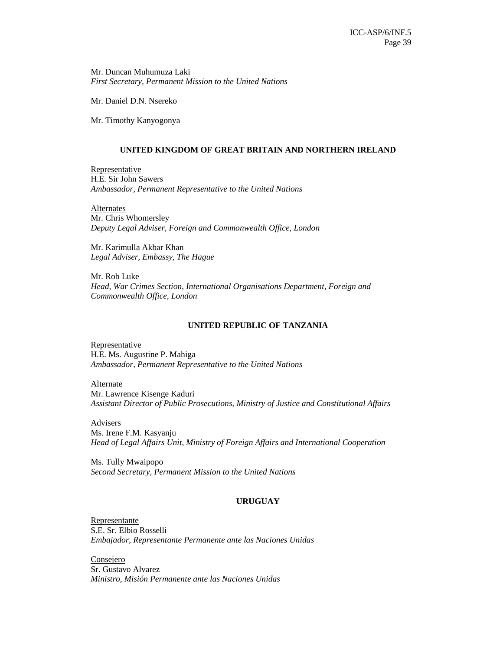Mr. Duncan Muhumuza Laki *First Secretary, Permanent Mission to the United Nations* 

Mr. Daniel D.N. Nsereko

Mr. Timothy Kanyogonya

### **UNITED KINGDOM OF GREAT BRITAIN AND NORTHERN IRELAND**

Representative H.E. Sir John Sawers *Ambassador, Permanent Representative to the United Nations* 

Alternates Mr. Chris Whomersley *Deputy Legal Adviser, Foreign and Commonwealth Office, London* 

Mr. Karimulla Akbar Khan *Legal Adviser, Embassy, The Hague* 

Mr. Rob Luke *Head, War Crimes Section, International Organisations Department, Foreign and Commonwealth Office, London* 

### **UNITED REPUBLIC OF TANZANIA**

**Representative** H.E. Ms. Augustine P. Mahiga *Ambassador, Permanent Representative to the United Nations* 

Alternate

Mr. Lawrence Kisenge Kaduri *Assistant Director of Public Prosecutions, Ministry of Justice and Constitutional Affairs* 

Advisers

Ms. Irene F.M. Kasyanju *Head of Legal Affairs Unit, Ministry of Foreign Affairs and International Cooperation* 

Ms. Tully Mwaipopo *Second Secretary, Permanent Mission to the United Nations* 

### **URUGUAY**

Representante S.E. Sr. Elbio Rosselli *Embajador, Representante Permanente ante las Naciones Unidas* 

**Consejero** Sr. Gustavo Alvarez *Ministro, Misión Permanente ante las Naciones Unidas*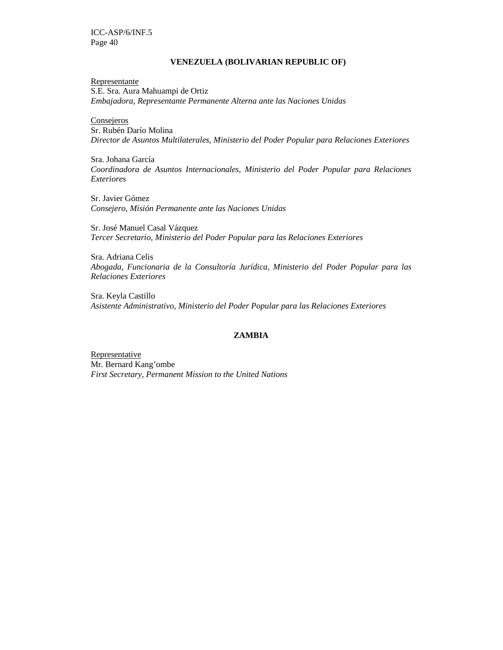### **VENEZUELA (BOLIVARIAN REPUBLIC OF)**

Representante S.E. Sra. Aura Mahuampi de Ortiz *Embajadora, Representante Permanente Alterna ante las Naciones Unidas* 

**Consejeros** Sr. Rubén Darío Molina *Director de Asuntos Multilaterales, Ministerio del Poder Popular para Relaciones Exteriores* 

Sra. Johana García *Coordinadora de Asuntos Internacionales, Ministerio del Poder Popular para Relaciones Exteriores* 

Sr. Javier Gómez *Consejero, Misión Permanente ante las Naciones Unidas*

Sr. José Manuel Casal Vázquez *Tercer Secretario, Ministerio del Poder Popular para las Relaciones Exteriores* 

Sra. Adriana Celis *Abogada, Funcionaria de la Consultoría Jurídica, Ministerio del Poder Popular para las Relaciones Exteriores* 

Sra. Keyla Castillo *Asistente Administrativo, Ministerio del Poder Popular para las Relaciones Exteriores* 

### **ZAMBIA**

**Representative** Mr. Bernard Kang'ombe *First Secretary, Permanent Mission to the United Nations*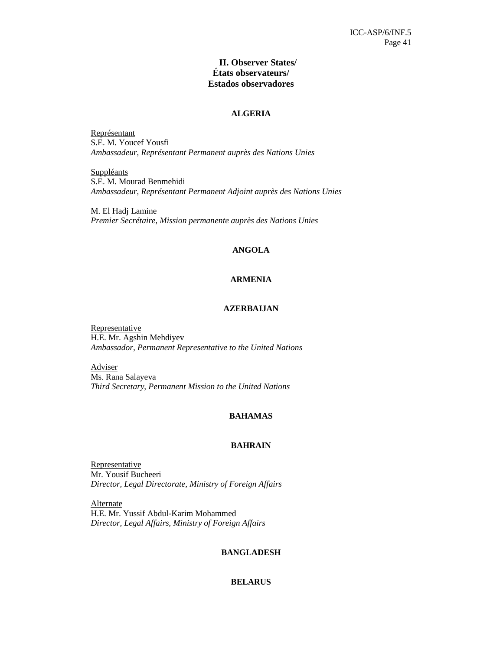### **II. Observer States/ États observateurs/ Estados observadores**

### **ALGERIA**

Représentant S.E. M. Youcef Yousfi *Ambassadeur, Représentant Permanent auprès des Nations Unies* 

**Suppléants** S.E. M. Mourad Benmehidi *Ambassadeur, Représentant Permanent Adjoint auprès des Nations Unies* 

M. El Hadj Lamine *Premier Secrétaire, Mission permanente auprès des Nations Unies* 

### **ANGOLA**

### **ARMENIA**

### **AZERBAIJAN**

**Representative** H.E. Mr. Agshin Mehdiyev *Ambassador, Permanent Representative to the United Nations* 

**Adviser** Ms. Rana Salayeva *Third Secretary, Permanent Mission to the United Nations* 

### **BAHAMAS**

#### **BAHRAIN**

**Representative** Mr. Yousif Bucheeri *Director, Legal Directorate, Ministry of Foreign Affairs* 

Alternate H.E. Mr. Yussif Abdul-Karim Mohammed *Director, Legal Affairs, Ministry of Foreign Affairs* 

### **BANGLADESH**

### **BELARUS**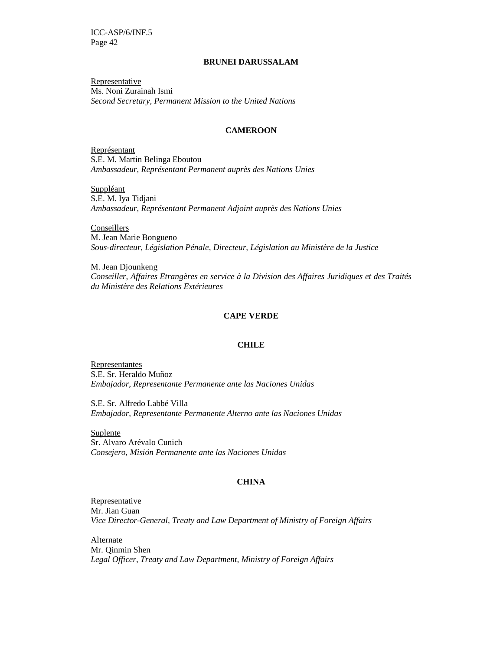#### **BRUNEI DARUSSALAM**

Representative Ms. Noni Zurainah Ismi *Second Secretary, Permanent Mission to the United Nations* 

#### **CAMEROON**

Représentant S.E. M. Martin Belinga Eboutou *Ambassadeur, Représentant Permanent auprès des Nations Unies* 

**Suppléant** S.E. M. Iya Tidjani *Ambassadeur, Représentant Permanent Adjoint auprès des Nations Unies* 

Conseillers M. Jean Marie Bongueno *Sous-directeur, Législation Pénale, Directeur, Législation au Ministère de la Justice* 

M. Jean Djounkeng *Conseiller, Affaires Etrangères en service à la Division des Affaires Juridiques et des Traités du Ministère des Relations Extérieures* 

### **CAPE VERDE**

#### **CHILE**

Representantes S.E. Sr. Heraldo Muñoz *Embajador, Representante Permanente ante las Naciones Unidas* 

S.E. Sr. Alfredo Labbé Villa *Embajador, Representante Permanente Alterno ante las Naciones Unidas* 

**Suplente** Sr. Alvaro Arévalo Cunich *Consejero, Misión Permanente ante las Naciones Unidas* 

#### **CHINA**

Representative Mr. Jian Guan *Vice Director-General, Treaty and Law Department of Ministry of Foreign Affairs* 

**Alternate** Mr. Qinmin Shen *Legal Officer*, *Treaty and Law Department, Ministry of Foreign Affairs*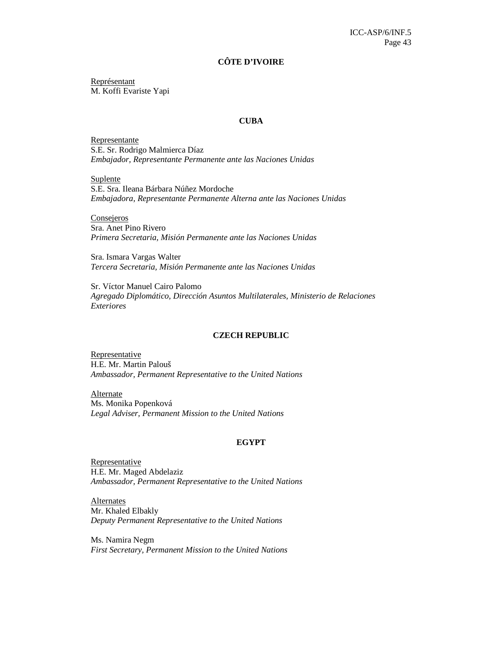#### **CÔTE D'IVOIRE**

Représentant M. Koffi Evariste Yapi

#### **CUBA**

Representante S.E. Sr. Rodrigo Malmierca Díaz *Embajador, Representante Permanente ante las Naciones Unidas* 

Suplente S.E. Sra. Ileana Bárbara Núñez Mordoche *Embajadora, Representante Permanente Alterna ante las Naciones Unidas* 

Consejeros Sra. Anet Pino Rivero *Primera Secretaria, Misión Permanente ante las Naciones Unidas* 

Sra. Ismara Vargas Walter *Tercera Secretaria, Misión Permanente ante las Naciones Unidas* 

Sr. Víctor Manuel Cairo Palomo *Agregado Diplomático, Dirección Asuntos Multilaterales, Ministerio de Relaciones Exteriores* 

#### **CZECH REPUBLIC**

Representative H.E. Mr. Martin Palouš *Ambassador, Permanent Representative to the United Nations* 

Alternate Ms. Monika Popenková *Legal Adviser, Permanent Mission to the United Nations* 

#### **EGYPT**

**Representative** H.E. Mr. Maged Abdelaziz *Ambassador, Permanent Representative to the United Nations* 

**Alternates** Mr. Khaled Elbakly *Deputy Permanent Representative to the United Nations* 

Ms. Namira Negm *First Secretary, Permanent Mission to the United Nations*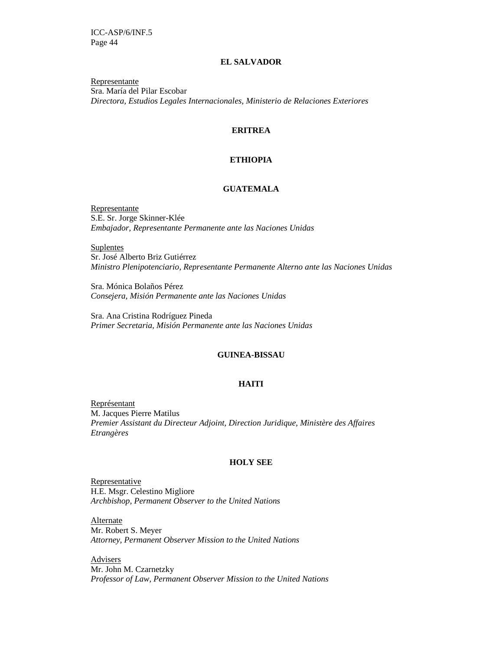#### **EL SALVADOR**

Representante Sra. María del Pilar Escobar *Directora, Estudios Legales Internacionales, Ministerio de Relaciones Exteriores* 

#### **ERITREA**

### **ETHIOPIA**

### **GUATEMALA**

Representante S.E. Sr. Jorge Skinner-Klée *Embajador, Representante Permanente ante las Naciones Unidas* 

**Suplentes** Sr. José Alberto Briz Gutiérrez *Ministro Plenipotenciario, Representante Permanente Alterno ante las Naciones Unidas* 

Sra. Mónica Bolaños Pérez *Consejera, Misión Permanente ante las Naciones Unidas* 

Sra. Ana Cristina Rodríguez Pineda *Primer Secretaria, Misión Permanente ante las Naciones Unidas* 

### **GUINEA-BISSAU**

### **HAITI**

Représentant M. Jacques Pierre Matilus *Premier Assistant du Directeur Adjoint, Direction Juridique, Ministère des Affaires Etrangères* 

#### **HOLY SEE**

**Representative** H.E. Msgr. Celestino Migliore *Archbishop, Permanent Observer to the United Nations* 

**Alternate** Mr. Robert S. Meyer *Attorney, Permanent Observer Mission to the United Nations* 

**Advisers** Mr. John M. Czarnetzky *Professor of Law, Permanent Observer Mission to the United Nations*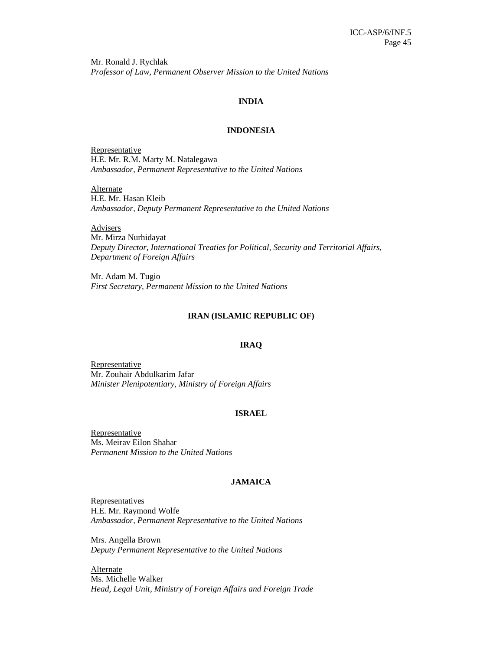Mr. Ronald J. Rychlak *Professor of Law, Permanent Observer Mission to the United Nations* 

### **INDIA**

#### **INDONESIA**

**Representative** H.E. Mr. R.M. Marty M. Natalegawa *Ambassador, Permanent Representative to the United Nations* 

Alternate H.E. Mr. Hasan Kleib *Ambassador, Deputy Permanent Representative to the United Nations* 

**Advisers** Mr. Mirza Nurhidayat *Deputy Director, International Treaties for Political, Security and Territorial Affairs, Department of Foreign Affairs* 

Mr. Adam M. Tugio *First Secretary, Permanent Mission to the United Nations* 

#### **IRAN (ISLAMIC REPUBLIC OF)**

#### **IRAQ**

Representative Mr. Zouhair Abdulkarim Jafar *Minister Plenipotentiary, Ministry of Foreign Affairs* 

#### **ISRAEL**

**Representative** Ms. Meirav Eilon Shahar *Permanent Mission to the United Nations* 

#### **JAMAICA**

**Representatives** H.E. Mr. Raymond Wolfe *Ambassador, Permanent Representative to the United Nations* 

Mrs. Angella Brown *Deputy Permanent Representative to the United Nations* 

Alternate Ms. Michelle Walker *Head, Legal Unit, Ministry of Foreign Affairs and Foreign Trade*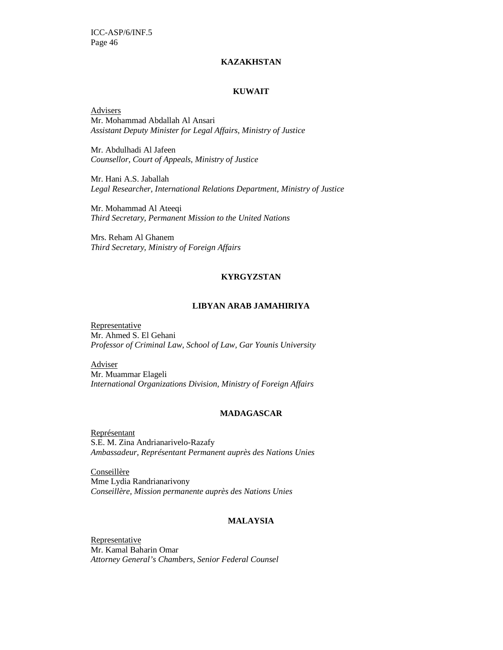### **KAZAKHSTAN**

#### **KUWAIT**

Advisers Mr. Mohammad Abdallah Al Ansari *Assistant Deputy Minister for Legal Affairs, Ministry of Justice* 

Mr. Abdulhadi Al Jafeen *Counsellor, Court of Appeals, Ministry of Justice* 

Mr. Hani A.S. Jaballah *Legal Researcher, International Relations Department, Ministry of Justice* 

Mr. Mohammad Al Ateeqi *Third Secretary, Permanent Mission to the United Nations* 

Mrs. Reham Al Ghanem *Third Secretary, Ministry of Foreign Affairs* 

### **KYRGYZSTAN**

#### **LIBYAN ARAB JAMAHIRIYA**

**Representative** Mr. Ahmed S. El Gehani *Professor of Criminal Law, School of Law, Gar Younis University* 

**Adviser** Mr. Muammar Elageli *International Organizations Division, Ministry of Foreign Affairs* 

### **MADAGASCAR**

Représentant S.E. M. Zina Andrianarivelo-Razafy *Ambassadeur, Représentant Permanent auprès des Nations Unies* 

**Conseillère** Mme Lydia Randrianarivony *Conseillère, Mission permanente auprès des Nations Unies* 

### **MALAYSIA**

Representative Mr. Kamal Baharin Omar *Attorney General's Chambers, Senior Federal Counsel*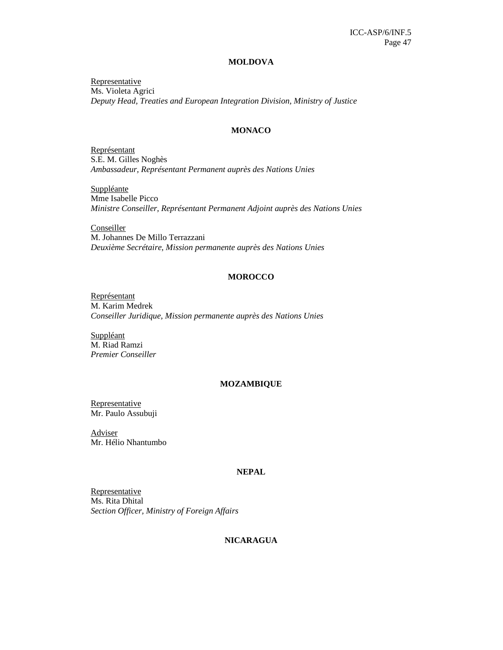#### **MOLDOVA**

**Representative** Ms. Violeta Agrici *Deputy Head, Treaties and European Integration Division, Ministry of Justice* 

#### **MONACO**

Représentant S.E. M. Gilles Noghès *Ambassadeur, Représentant Permanent auprès des Nations Unies* 

**Suppléante** Mme Isabelle Picco *Ministre Conseiller, Représentant Permanent Adjoint auprès des Nations Unies* 

**Conseiller** M. Johannes De Millo Terrazzani *Deuxième Secrétaire, Mission permanente auprès des Nations Unies* 

### **MOROCCO**

Représentant M. Karim Medrek *Conseiller Juridique, Mission permanente auprès des Nations Unies* 

Suppléant M. Riad Ramzi *Premier Conseiller* 

### **MOZAMBIQUE**

Representative Mr. Paulo Assubuji

Adviser Mr. Hélio Nhantumbo

#### **NEPAL**

**Representative** Ms. Rita Dhital *Section Officer, Ministry of Foreign Affairs* 

#### **NICARAGUA**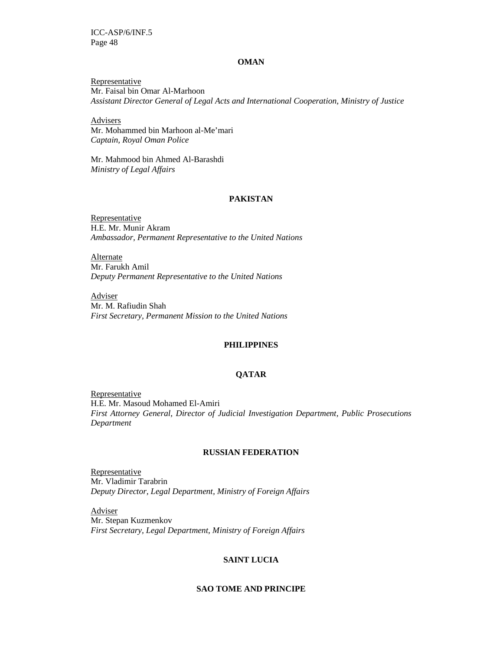#### **OMAN**

Representative Mr. Faisal bin Omar Al-Marhoon *Assistant Director General of Legal Acts and International Cooperation, Ministry of Justice* 

**Advisers** Mr. Mohammed bin Marhoon al-Me'mari *Captain, Royal Oman Police* 

Mr. Mahmood bin Ahmed Al-Barashdi *Ministry of Legal Affairs* 

### **PAKISTAN**

Representative H.E. Mr. Munir Akram *Ambassador, Permanent Representative to the United Nations* 

**Alternate** Mr. Farukh Amil *Deputy Permanent Representative to the United Nations* 

Adviser Mr. M. Rafiudin Shah *First Secretary, Permanent Mission to the United Nations* 

#### **PHILIPPINES**

#### **QATAR**

Representative H.E. Mr. Masoud Mohamed El-Amiri *First Attorney General, Director of Judicial Investigation Department, Public Prosecutions Department* 

#### **RUSSIAN FEDERATION**

Representative Mr. Vladimir Tarabrin *Deputy Director, Legal Department, Ministry of Foreign Affairs* 

Adviser Mr. Stepan Kuzmenkov *First Secretary, Legal Department, Ministry of Foreign Affairs* 

### **SAINT LUCIA**

### **SAO TOME AND PRINCIPE**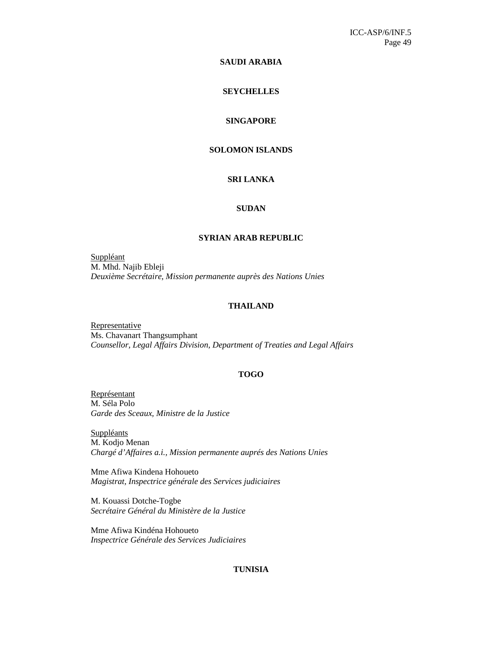### **SAUDI ARABIA**

### **SEYCHELLES**

### **SINGAPORE**

### **SOLOMON ISLANDS**

### **SRI LANKA**

### **SUDAN**

#### **SYRIAN ARAB REPUBLIC**

Suppléant M. Mhd. Najib Ebleji *Deuxième Secrétaire, Mission permanente auprès des Nations Unies* 

#### **THAILAND**

**Representative** Ms. Chavanart Thangsumphant *Counsellor, Legal Affairs Division, Department of Treaties and Legal Affairs* 

#### **TOGO**

Représentant M. Séla Polo *Garde des Sceaux, Ministre de la Justice* 

**Suppléants** M. Kodjo Menan *Chargé d'Affaires a.i., Mission permanente auprés des Nations Unies* 

Mme Afiwa Kindena Hohoueto *Magistrat, Inspectrice générale des Services judiciaires* 

M. Kouassi Dotche-Togbe *Secrétaire Général du Ministère de la Justice* 

Mme Afiwa Kindéna Hohoueto *Inspectrice Générale des Services Judiciaires* 

### **TUNISIA**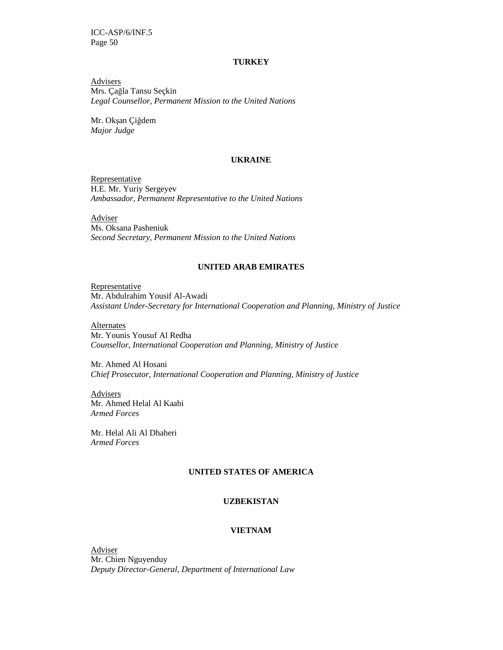#### **TURKEY**

**Advisers** Mrs. Çağla Tansu Seçkin *Legal Counsellor, Permanent Mission to the United Nations* 

Mr. Okşan Çiğdem *Major Judge*

#### **UKRAINE**

Representative H.E. Mr. Yuriy Sergeyev *Ambassador, Permanent Representative to the United Nations* 

Adviser Ms. Oksana Pasheniuk *Second Secretary, Permanent Mission to the United Nations* 

### **UNITED ARAB EMIRATES**

**Representative** Mr. Abdulrahim Yousif Al-Awadi *Assistant Under-Secretary for International Cooperation and Planning, Ministry of Justice* 

**Alternates** Mr. Younis Yousuf Al Redha *Counsellor, International Cooperation and Planning, Ministry of Justice* 

Mr. Ahmed Al Hosani *Chief Prosecutor, International Cooperation and Planning, Ministry of Justice* 

Advisers Mr. Ahmed Helal Al Kaabi *Armed Forces* 

Mr. Helal Ali Al Dhaheri *Armed Forces* 

### **UNITED STATES OF AMERICA**

### **UZBEKISTAN**

### **VIETNAM**

Adviser Mr. Chien Nguyenduy *Deputy Director-General, Department of International Law*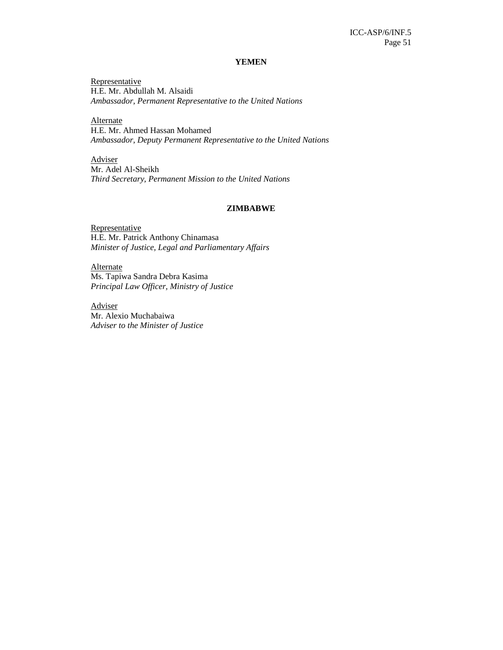#### **YEMEN**

**Representative** H.E. Mr. Abdullah M. Alsaidi *Ambassador, Permanent Representative to the United Nations* 

**Alternate** H.E. Mr. Ahmed Hassan Mohamed *Ambassador, Deputy Permanent Representative to the United Nations* 

Adviser Mr. Adel Al-Sheikh *Third Secretary, Permanent Mission to the United Nations*

#### **ZIMBABWE**

**Representative** H.E. Mr. Patrick Anthony Chinamasa *Minister of Justice, Legal and Parliamentary Affairs* 

**Alternate** Ms. Tapiwa Sandra Debra Kasima *Principal Law Officer, Ministry of Justice* 

Adviser Mr. Alexio Muchabaiwa *Adviser to the Minister of Justice*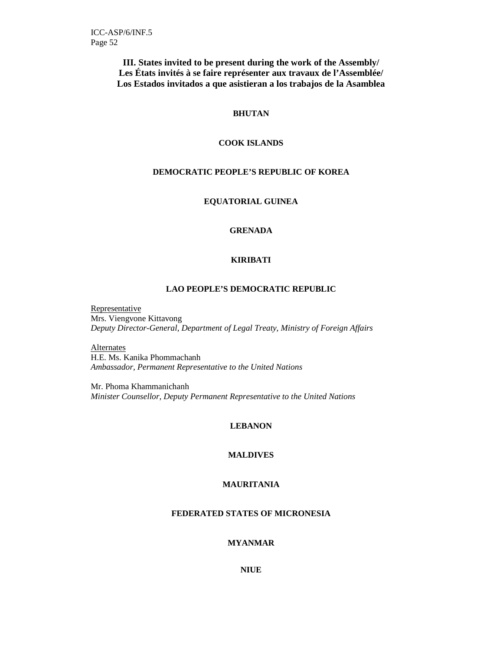**III. States invited to be present during the work of the Assembly/ Les États invités à se faire représenter aux travaux de l'Assemblée/ Los Estados invitados a que asistieran a los trabajos de la Asamblea** 

### **BHUTAN**

### **COOK ISLANDS**

### **DEMOCRATIC PEOPLE'S REPUBLIC OF KOREA**

**EQUATORIAL GUINEA** 

### **GRENADA**

### **KIRIBATI**

### **LAO PEOPLE'S DEMOCRATIC REPUBLIC**

Representative Mrs. Viengvone Kittavong *Deputy Director-General, Department of Legal Treaty, Ministry of Foreign Affairs* 

**Alternates** H.E. Ms. Kanika Phommachanh *Ambassador, Permanent Representative to the United Nations* 

Mr. Phoma Khammanichanh *Minister Counsellor, Deputy Permanent Representative to the United Nations* 

### **LEBANON**

#### **MALDIVES**

### **MAURITANIA**

### **FEDERATED STATES OF MICRONESIA**

### **MYANMAR**

**NIUE**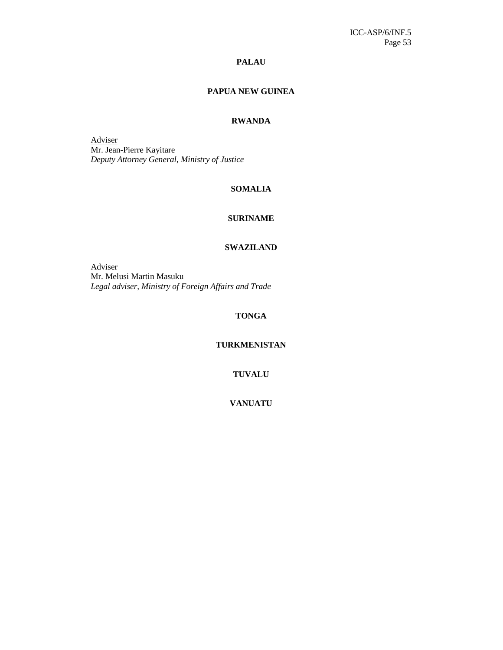### **PALAU**

### **PAPUA NEW GUINEA**

### **RWANDA**

Adviser Mr. Jean-Pierre Kayitare *Deputy Attorney General, Ministry of Justice* 

#### **SOMALIA**

### **SURINAME**

#### **SWAZILAND**

Adviser Mr. Melusi Martin Masuku *Legal adviser, Ministry of Foreign Affairs and Trade* 

### **TONGA**

### **TURKMENISTAN**

**TUVALU** 

**VANUATU**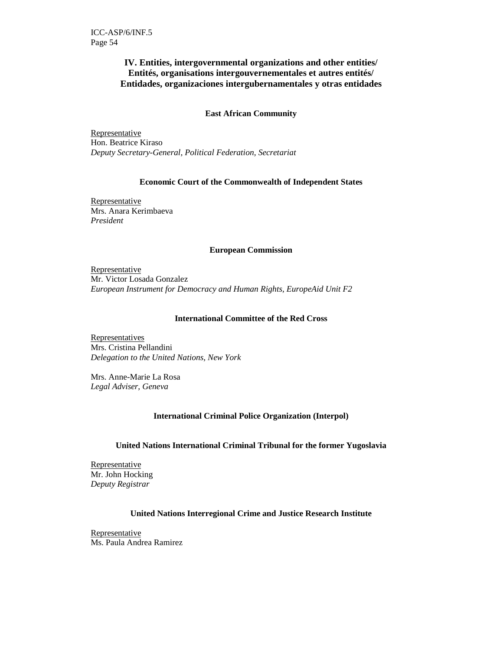### **IV. Entities, intergovernmental organizations and other entities/ Entités, organisations intergouvernementales et autres entités/ Entidades, organizaciones intergubernamentales y otras entidades**

### **East African Community**

Representative Hon. Beatrice Kiraso *Deputy Secretary-General, Political Federation, Secretariat* 

### **Economic Court of the Commonwealth of Independent States**

Representative Mrs. Anara Kerimbaeva *President* 

### **European Commission**

Representative Mr. Victor Losada Gonzalez *European Instrument for Democracy and Human Rights, EuropeAid Unit F2* 

### **International Committee of the Red Cross**

Representatives Mrs. Cristina Pellandini *Delegation to the United Nations, New York* 

Mrs. Anne-Marie La Rosa *Legal Adviser, Geneva*

### **International Criminal Police Organization (Interpol)**

#### **United Nations International Criminal Tribunal for the former Yugoslavia**

Representative Mr. John Hocking *Deputy Registrar* 

### **United Nations Interregional Crime and Justice Research Institute**

**Representative** Ms. Paula Andrea Ramirez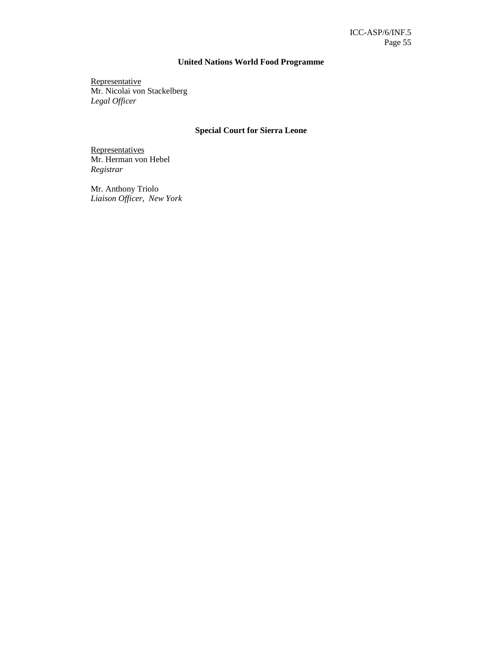### **United Nations World Food Programme**

**Representative** Mr. Nicolai von Stackelberg *Legal Officer* 

### **Special Court for Sierra Leone**

**Representatives** Mr. Herman von Hebel *Registrar*

Mr. Anthony Triolo *Liaison Officer, New York*